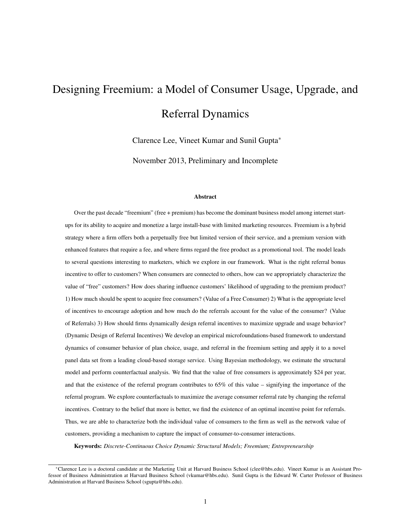# Designing Freemium: a Model of Consumer Usage, Upgrade, and Referral Dynamics

Clarence Lee, Vineet Kumar and Sunil Gupta<sup>∗</sup>

November 2013, Preliminary and Incomplete

#### Abstract

Over the past decade "freemium" (free + premium) has become the dominant business model among internet startups for its ability to acquire and monetize a large install-base with limited marketing resources. Freemium is a hybrid strategy where a firm offers both a perpetually free but limited version of their service, and a premium version with enhanced features that require a fee, and where firms regard the free product as a promotional tool. The model leads to several questions interesting to marketers, which we explore in our framework. What is the right referral bonus incentive to offer to customers? When consumers are connected to others, how can we appropriately characterize the value of "free" customers? How does sharing influence customers' likelihood of upgrading to the premium product? 1) How much should be spent to acquire free consumers? (Value of a Free Consumer) 2) What is the appropriate level of incentives to encourage adoption and how much do the referrals account for the value of the consumer? (Value of Referrals) 3) How should firms dynamically design referral incentives to maximize upgrade and usage behavior? (Dynamic Design of Referral Incentives) We develop an empirical microfoundations-based framework to understand dynamics of consumer behavior of plan choice, usage, and referral in the freemium setting and apply it to a novel panel data set from a leading cloud-based storage service. Using Bayesian methodology, we estimate the structural model and perform counterfactual analysis. We find that the value of free consumers is approximately \$24 per year, and that the existence of the referral program contributes to 65% of this value – signifying the importance of the referral program. We explore counterfactuals to maximize the average consumer referral rate by changing the referral incentives. Contrary to the belief that more is better, we find the existence of an optimal incentive point for referrals. Thus, we are able to characterize both the individual value of consumers to the firm as well as the network value of customers, providing a mechanism to capture the impact of consumer-to-consumer interactions.

Keywords: *Discrete-Continuous Choice Dynamic Structural Models; Freemium; Entrepreneurship*

<sup>∗</sup>Clarence Lee is a doctoral candidate at the Marketing Unit at Harvard Business School (clee@hbs.edu). Vineet Kumar is an Assistant Professor of Business Administration at Harvard Business School (vkumar@hbs.edu). Sunil Gupta is the Edward W. Carter Professor of Business Administration at Harvard Business School (sgupta@hbs.edu).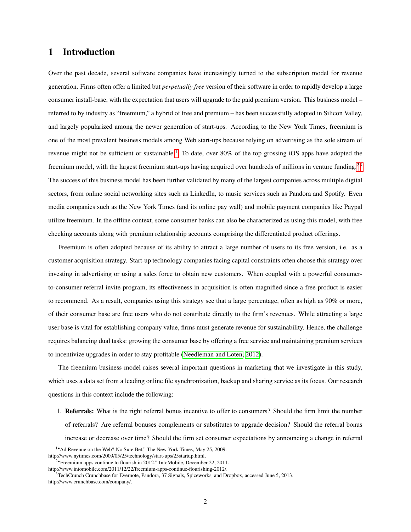# 1 Introduction

Over the past decade, several software companies have increasingly turned to the subscription model for revenue generation. Firms often offer a limited but *perpetually free* version of their software in order to rapidly develop a large consumer install-base, with the expectation that users will upgrade to the paid premium version. This business model – referred to by industry as "freemium," a hybrid of free and premium – has been successfully adopted in Silicon Valley, and largely popularized among the newer generation of start-ups. According to the New York Times, freemium is one of the most prevalent business models among Web start-ups because relying on advertising as the sole stream of revenue might not be sufficient or sustainable.<sup>[1](#page-1-0)</sup> To date, over 80% of the top grossing iOS apps have adopted the freemium model, with the largest freemium start-ups having acquired over hundreds of millions in venture funding.[2](#page-1-1)[3](#page-1-2) The success of this business model has been further validated by many of the largest companies across multiple digital sectors, from online social networking sites such as LinkedIn, to music services such as Pandora and Spotify. Even media companies such as the New York Times (and its online pay wall) and mobile payment companies like Paypal utilize freemium. In the offline context, some consumer banks can also be characterized as using this model, with free checking accounts along with premium relationship accounts comprising the differentiated product offerings.

Freemium is often adopted because of its ability to attract a large number of users to its free version, i.e. as a customer acquisition strategy. Start-up technology companies facing capital constraints often choose this strategy over investing in advertising or using a sales force to obtain new customers. When coupled with a powerful consumerto-consumer referral invite program, its effectiveness in acquisition is often magnified since a free product is easier to recommend. As a result, companies using this strategy see that a large percentage, often as high as 90% or more, of their consumer base are free users who do not contribute directly to the firm's revenues. While attracting a large user base is vital for establishing company value, firms must generate revenue for sustainability. Hence, the challenge requires balancing dual tasks: growing the consumer base by offering a free service and maintaining premium services to incentivize upgrades in order to stay profitable [\(Needleman and Loten, 2012\)](#page-41-0).

The freemium business model raises several important questions in marketing that we investigate in this study, which uses a data set from a leading online file synchronization, backup and sharing service as its focus. Our research questions in this context include the following:

1. Referrals: What is the right referral bonus incentive to offer to consumers? Should the firm limit the number of referrals? Are referral bonuses complements or substitutes to upgrade decision? Should the referral bonus increase or decrease over time? Should the firm set consumer expectations by announcing a change in referral

<span id="page-1-0"></span><sup>&</sup>lt;sup>1</sup>"Ad Revenue on the Web? No Sure Bet," The New York Times, May 25, 2009. http://www.nytimes.com/2009/05/25/technology/start-ups/25startup.html.

<span id="page-1-1"></span><sup>&</sup>lt;sup>2</sup> "Freemium apps continue to flourish in 2012." IntoMobile, December 22, 2011.

http://www.intomobile.com/2011/12/22/freemium-apps-continue-flourishing-2012/.

<span id="page-1-2"></span> $3$ TechCrunch Crunchbase for Evernote, Pandora, 37 Signals, Spiceworks, and Dropbox, accessed June 5, 2013. http://www.crunchbase.com/company/.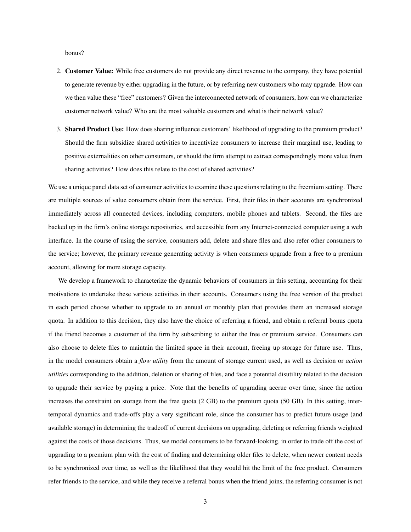bonus?

- 2. Customer Value: While free customers do not provide any direct revenue to the company, they have potential to generate revenue by either upgrading in the future, or by referring new customers who may upgrade. How can we then value these "free" customers? Given the interconnected network of consumers, how can we characterize customer network value? Who are the most valuable customers and what is their network value?
- 3. Shared Product Use: How does sharing influence customers' likelihood of upgrading to the premium product? Should the firm subsidize shared activities to incentivize consumers to increase their marginal use, leading to positive externalities on other consumers, or should the firm attempt to extract correspondingly more value from sharing activities? How does this relate to the cost of shared activities?

We use a unique panel data set of consumer activities to examine these questions relating to the freemium setting. There are multiple sources of value consumers obtain from the service. First, their files in their accounts are synchronized immediately across all connected devices, including computers, mobile phones and tablets. Second, the files are backed up in the firm's online storage repositories, and accessible from any Internet-connected computer using a web interface. In the course of using the service, consumers add, delete and share files and also refer other consumers to the service; however, the primary revenue generating activity is when consumers upgrade from a free to a premium account, allowing for more storage capacity.

We develop a framework to characterize the dynamic behaviors of consumers in this setting, accounting for their motivations to undertake these various activities in their accounts. Consumers using the free version of the product in each period choose whether to upgrade to an annual or monthly plan that provides them an increased storage quota. In addition to this decision, they also have the choice of referring a friend, and obtain a referral bonus quota if the friend becomes a customer of the firm by subscribing to either the free or premium service. Consumers can also choose to delete files to maintain the limited space in their account, freeing up storage for future use. Thus, in the model consumers obtain a *flow utility* from the amount of storage current used, as well as decision or *action utilities* corresponding to the addition, deletion or sharing of files, and face a potential disutility related to the decision to upgrade their service by paying a price. Note that the benefits of upgrading accrue over time, since the action increases the constraint on storage from the free quota (2 GB) to the premium quota (50 GB). In this setting, intertemporal dynamics and trade-offs play a very significant role, since the consumer has to predict future usage (and available storage) in determining the tradeoff of current decisions on upgrading, deleting or referring friends weighted against the costs of those decisions. Thus, we model consumers to be forward-looking, in order to trade off the cost of upgrading to a premium plan with the cost of finding and determining older files to delete, when newer content needs to be synchronized over time, as well as the likelihood that they would hit the limit of the free product. Consumers refer friends to the service, and while they receive a referral bonus when the friend joins, the referring consumer is not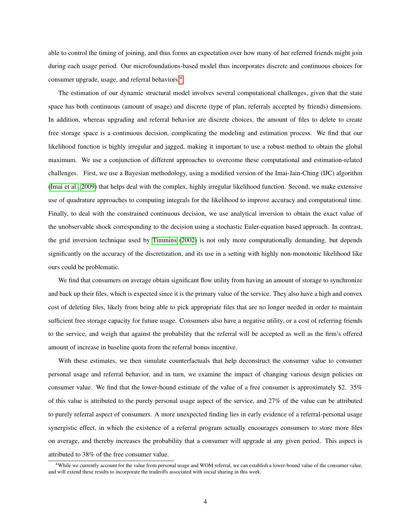able to control the timing of joining, and thus forms an expectation over how many of her referred friends might join during each usage period. Our microfoundations-based model thus incorporates discrete and continuous choices for consumer upgrade, usage, and referral behaviors.[4](#page-3-0)

The estimation of our dynamic structural model involves several computational challenges, given that the state space has both continuous (amount of usage) and discrete (type of plan, referrals accepted by friends) dimensions. In addition, whereas upgrading and referral behavior are discrete choices, the amount of files to delete to create free storage space is a continuous decision, complicating the modeling and estimation process. We find that our likelihood function is highly irregular and jagged, making it important to use a robust method to obtain the global maximum. We use a conjunction of different approaches to overcome these computational and estimation-related challenges. First, we use a Bayesian methodology, using a modified version of the Imai-Jain-Ching (IJC) algorithm [\(Imai et al., 2009\)](#page-41-1) that helps deal with the complex, highly irregular likelihood function. Second, we make extensive use of quadrature approaches to computing integrals for the likelihood to improve accuracy and computational time. Finally, to deal with the constrained continuous decision, we use analytical inversion to obtain the exact value of the unobservable shock corresponding to the decision using a stochastic Euler-equation based approach. In contrast, the grid inversion technique used by [Timmins](#page-42-0) [\(2002\)](#page-42-0) is not only more computationally demanding, but depends significantly on the accuracy of the discretization, and its use in a setting with highly non-monotonic likelihood like ours could be problematic.

We find that consumers on average obtain significant flow utility from having an amount of storage to synchronize and back up their files, which is expected since it is the primary value of the service. They also have a high and convex cost of deleting files, likely from being able to pick appropriate files that are no longer needed in order to maintain sufficient free storage capacity for future usage. Consumers also have a negative utility, or a cost of referring friends to the service, and weigh that against the probability that the referral will be accepted as well as the firm's offered amount of increase in baseline quota from the referral bonus incentive.

With these estimates, we then simulate counterfactuals that help deconstruct the consumer value to consumer personal usage and referral behavior, and in turn, we examine the impact of changing various design policies on consumer value. We find that the lower-bound estimate of the value of a free consumer is approximately \$2. 35% of this value is attributed to the purely personal usage aspect of the service, and 27% of the value can be attributed to purely referral aspect of consumers. A more unexpected finding lies in early evidence of a referral-personal usage synergistic effect, in which the existence of a referral program actually encourages consumers to store more files on average, and thereby increases the probability that a consumer will upgrade at any given period. This aspect is attributed to 38% of the free consumer value.

<span id="page-3-0"></span><sup>&</sup>lt;sup>4</sup>While we currently account for the value from personal usage and WOM referral, we can establish a lower-bound value of the consumer value, and will extend these results to incorporate the tradeoffs associated with social sharing in this work.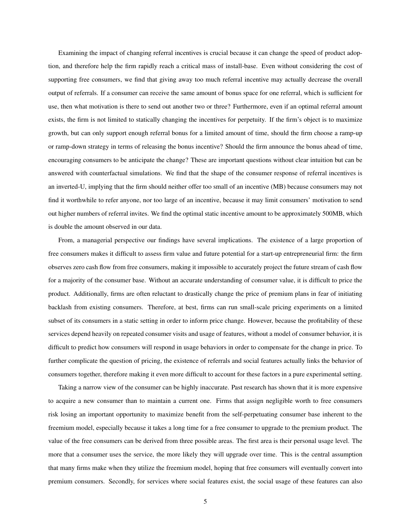Examining the impact of changing referral incentives is crucial because it can change the speed of product adoption, and therefore help the firm rapidly reach a critical mass of install-base. Even without considering the cost of supporting free consumers, we find that giving away too much referral incentive may actually decrease the overall output of referrals. If a consumer can receive the same amount of bonus space for one referral, which is sufficient for use, then what motivation is there to send out another two or three? Furthermore, even if an optimal referral amount exists, the firm is not limited to statically changing the incentives for perpetuity. If the firm's object is to maximize growth, but can only support enough referral bonus for a limited amount of time, should the firm choose a ramp-up or ramp-down strategy in terms of releasing the bonus incentive? Should the firm announce the bonus ahead of time, encouraging consumers to be anticipate the change? These are important questions without clear intuition but can be answered with counterfactual simulations. We find that the shape of the consumer response of referral incentives is an inverted-U, implying that the firm should neither offer too small of an incentive (MB) because consumers may not find it worthwhile to refer anyone, nor too large of an incentive, because it may limit consumers' motivation to send out higher numbers of referral invites. We find the optimal static incentive amount to be approximately 500MB, which is double the amount observed in our data.

From, a managerial perspective our findings have several implications. The existence of a large proportion of free consumers makes it difficult to assess firm value and future potential for a start-up entrepreneurial firm: the firm observes zero cash flow from free consumers, making it impossible to accurately project the future stream of cash flow for a majority of the consumer base. Without an accurate understanding of consumer value, it is difficult to price the product. Additionally, firms are often reluctant to drastically change the price of premium plans in fear of initiating backlash from existing consumers. Therefore, at best, firms can run small-scale pricing experiments on a limited subset of its consumers in a static setting in order to inform price change. However, because the profitability of these services depend heavily on repeated consumer visits and usage of features, without a model of consumer behavior, it is difficult to predict how consumers will respond in usage behaviors in order to compensate for the change in price. To further complicate the question of pricing, the existence of referrals and social features actually links the behavior of consumers together, therefore making it even more difficult to account for these factors in a pure experimental setting.

Taking a narrow view of the consumer can be highly inaccurate. Past research has shown that it is more expensive to acquire a new consumer than to maintain a current one. Firms that assign negligible worth to free consumers risk losing an important opportunity to maximize benefit from the self-perpetuating consumer base inherent to the freemium model, especially because it takes a long time for a free consumer to upgrade to the premium product. The value of the free consumers can be derived from three possible areas. The first area is their personal usage level. The more that a consumer uses the service, the more likely they will upgrade over time. This is the central assumption that many firms make when they utilize the freemium model, hoping that free consumers will eventually convert into premium consumers. Secondly, for services where social features exist, the social usage of these features can also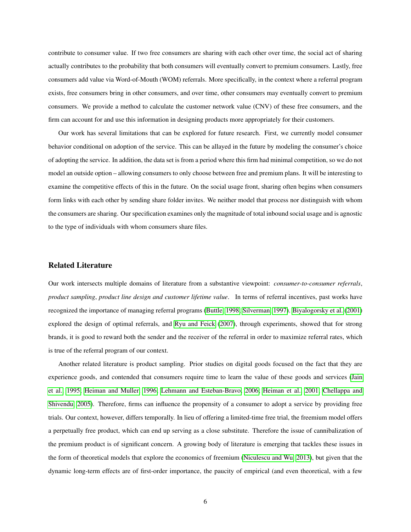contribute to consumer value. If two free consumers are sharing with each other over time, the social act of sharing actually contributes to the probability that both consumers will eventually convert to premium consumers. Lastly, free consumers add value via Word-of-Mouth (WOM) referrals. More specifically, in the context where a referral program exists, free consumers bring in other consumers, and over time, other consumers may eventually convert to premium consumers. We provide a method to calculate the customer network value (CNV) of these free consumers, and the firm can account for and use this information in designing products more appropriately for their customers.

Our work has several limitations that can be explored for future research. First, we currently model consumer behavior conditional on adoption of the service. This can be allayed in the future by modeling the consumer's choice of adopting the service. In addition, the data set is from a period where this firm had minimal competition, so we do not model an outside option – allowing consumers to only choose between free and premium plans. It will be interesting to examine the competitive effects of this in the future. On the social usage front, sharing often begins when consumers form links with each other by sending share folder invites. We neither model that process nor distinguish with whom the consumers are sharing. Our specification examines only the magnitude of total inbound social usage and is agnostic to the type of individuals with whom consumers share files.

## Related Literature

Our work intersects multiple domains of literature from a substantive viewpoint: *consumer-to-consumer referrals*, *product sampling*, *product line design and customer lifetime value*. In terms of referral incentives, past works have recognized the importance of managing referral programs [\(Buttle, 1998;](#page-40-0) [Silverman, 1997\)](#page-41-2). [Biyalogorsky et al.](#page-40-1) [\(2001\)](#page-40-1) explored the design of optimal referrals, and [Ryu and Feick](#page-41-3) [\(2007\)](#page-41-3), through experiments, showed that for strong brands, it is good to reward both the sender and the receiver of the referral in order to maximize referral rates, which is true of the referral program of our context.

Another related literature is product sampling. Prior studies on digital goods focused on the fact that they are experience goods, and contended that consumers require time to learn the value of these goods and services [\(Jain](#page-41-4) [et al., 1995;](#page-41-4) [Heiman and Muller, 1996;](#page-40-2) [Lehmann and Esteban-Bravo, 2006;](#page-41-5) [Heiman et al., 2001;](#page-40-3) [Chellappa and](#page-40-4) [Shivendu, 2005\)](#page-40-4). Therefore, firms can influence the propensity of a consumer to adopt a service by providing free trials. Our context, however, differs temporally. In lieu of offering a limited-time free trial, the freemium model offers a perpetually free product, which can end up serving as a close substitute. Therefore the issue of cannibalization of the premium product is of significant concern. A growing body of literature is emerging that tackles these issues in the form of theoretical models that explore the economics of freemium [\(Niculescu and Wu, 2013\)](#page-41-6), but given that the dynamic long-term effects are of first-order importance, the paucity of empirical (and even theoretical, with a few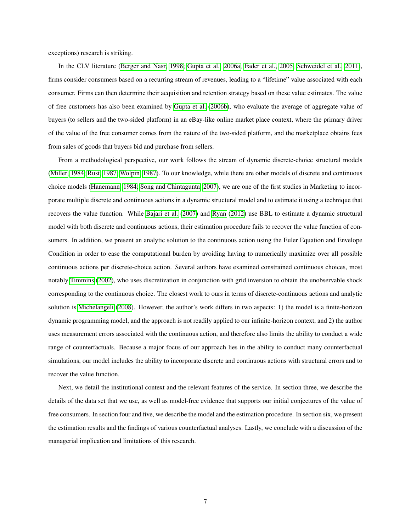exceptions) research is striking.

In the CLV literature [\(Berger and Nasr, 1998;](#page-40-5) [Gupta et al., 2006a;](#page-40-6) [Fader et al., 2005;](#page-40-7) [Schweidel et al., 2011\)](#page-41-7), firms consider consumers based on a recurring stream of revenues, leading to a "lifetime" value associated with each consumer. Firms can then determine their acquisition and retention strategy based on these value estimates. The value of free customers has also been examined by [Gupta et al.](#page-40-8) [\(2006b\)](#page-40-8), who evaluate the average of aggregate value of buyers (to sellers and the two-sided platform) in an eBay-like online market place context, where the primary driver of the value of the free consumer comes from the nature of the two-sided platform, and the marketplace obtains fees from sales of goods that buyers bid and purchase from sellers.

From a methodological perspective, our work follows the stream of dynamic discrete-choice structural models [\(Miller, 1984;](#page-41-8) [Rust, 1987;](#page-41-9) [Wolpin, 1987\)](#page-42-1). To our knowledge, while there are other models of discrete and continuous choice models [\(Hanemann, 1984;](#page-40-9) [Song and Chintagunta, 2007\)](#page-41-10), we are one of the first studies in Marketing to incorporate multiple discrete and continuous actions in a dynamic structural model and to estimate it using a technique that recovers the value function. While [Bajari et al.](#page-40-10) [\(2007\)](#page-40-10) and [Ryan](#page-41-11) [\(2012\)](#page-41-11) use BBL to estimate a dynamic structural model with both discrete and continuous actions, their estimation procedure fails to recover the value function of consumers. In addition, we present an analytic solution to the continuous action using the Euler Equation and Envelope Condition in order to ease the computational burden by avoiding having to numerically maximize over all possible continuous actions per discrete-choice action. Several authors have examined constrained continuous choices, most notably [Timmins](#page-42-0) [\(2002\)](#page-42-0), who uses discretization in conjunction with grid inversion to obtain the unobservable shock corresponding to the continuous choice. The closest work to ours in terms of discrete-continuous actions and analytic solution is [Michelangeli](#page-41-12) [\(2008\)](#page-41-12). However, the author's work differs in two aspects: 1) the model is a finite-horizon dynamic programming model, and the approach is not readily applied to our infinite-horizon context, and 2) the author uses measurement errors associated with the continuous action, and therefore also limits the ability to conduct a wide range of counterfactuals. Because a major focus of our approach lies in the ability to conduct many counterfactual simulations, our model includes the ability to incorporate discrete and continuous actions with structural errors and to recover the value function.

Next, we detail the institutional context and the relevant features of the service. In section three, we describe the details of the data set that we use, as well as model-free evidence that supports our initial conjectures of the value of free consumers. In section four and five, we describe the model and the estimation procedure. In section six, we present the estimation results and the findings of various counterfactual analyses. Lastly, we conclude with a discussion of the managerial implication and limitations of this research.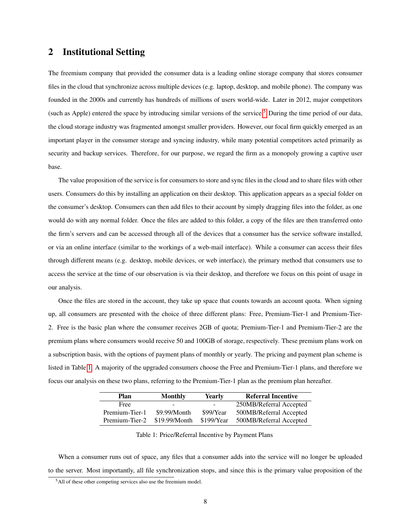# 2 Institutional Setting

The freemium company that provided the consumer data is a leading online storage company that stores consumer files in the cloud that synchronize across multiple devices (e.g. laptop, desktop, and mobile phone). The company was founded in the 2000s and currently has hundreds of millions of users world-wide. Later in 2012, major competitors (such as Apple) entered the space by introducing similar versions of the service.<sup>[5](#page-7-0)</sup> During the time period of our data, the cloud storage industry was fragmented amongst smaller providers. However, our focal firm quickly emerged as an important player in the consumer storage and syncing industry, while many potential competitors acted primarily as security and backup services. Therefore, for our purpose, we regard the firm as a monopoly growing a captive user base.

The value proposition of the service is for consumers to store and sync files in the cloud and to share files with other users. Consumers do this by installing an application on their desktop. This application appears as a special folder on the consumer's desktop. Consumers can then add files to their account by simply dragging files into the folder, as one would do with any normal folder. Once the files are added to this folder, a copy of the files are then transferred onto the firm's servers and can be accessed through all of the devices that a consumer has the service software installed, or via an online interface (similar to the workings of a web-mail interface). While a consumer can access their files through different means (e.g. desktop, mobile devices, or web interface), the primary method that consumers use to access the service at the time of our observation is via their desktop, and therefore we focus on this point of usage in our analysis.

Once the files are stored in the account, they take up space that counts towards an account quota. When signing up, all consumers are presented with the choice of three different plans: Free, Premium-Tier-1 and Premium-Tier-2. Free is the basic plan where the consumer receives 2GB of quota; Premium-Tier-1 and Premium-Tier-2 are the premium plans where consumers would receive 50 and 100GB of storage, respectively. These premium plans work on a subscription basis, with the options of payment plans of monthly or yearly. The pricing and payment plan scheme is listed in Table [1.](#page-7-1) A majority of the upgraded consumers choose the Free and Premium-Tier-1 plans, and therefore we focus our analysis on these two plans, referring to the Premium-Tier-1 plan as the premium plan hereafter.

| Plan           | Monthly       | Yearly                            | <b>Referral Incentive</b> |
|----------------|---------------|-----------------------------------|---------------------------|
| Free           | -             | <b>Contract Contract Contract</b> | 250MB/Referral Accepted   |
| Premium-Tier-1 | \$9.99/Month  | \$99/Year                         | 500MB/Referral Accepted   |
| Premium-Tier-2 | \$19.99/Month | \$199/Year                        | 500MB/Referral Accepted   |

<span id="page-7-1"></span>Table 1: Price/Referral Incentive by Payment Plans

When a consumer runs out of space, any files that a consumer adds into the service will no longer be uploaded to the server. Most importantly, all file synchronization stops, and since this is the primary value proposition of the

<span id="page-7-0"></span><sup>&</sup>lt;sup>5</sup>All of these other competing services also use the freemium model.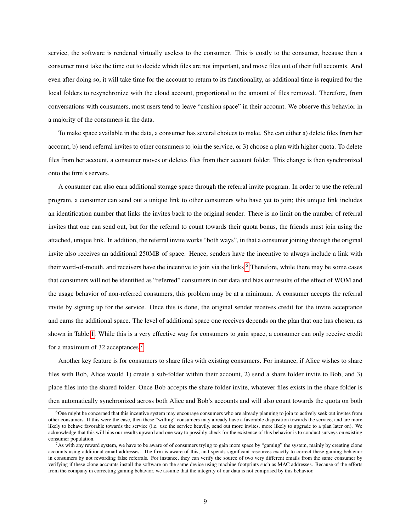service, the software is rendered virtually useless to the consumer. This is costly to the consumer, because then a consumer must take the time out to decide which files are not important, and move files out of their full accounts. And even after doing so, it will take time for the account to return to its functionality, as additional time is required for the local folders to resynchronize with the cloud account, proportional to the amount of files removed. Therefore, from conversations with consumers, most users tend to leave "cushion space" in their account. We observe this behavior in a majority of the consumers in the data.

To make space available in the data, a consumer has several choices to make. She can either a) delete files from her account, b) send referral invites to other consumers to join the service, or 3) choose a plan with higher quota. To delete files from her account, a consumer moves or deletes files from their account folder. This change is then synchronized onto the firm's servers.

A consumer can also earn additional storage space through the referral invite program. In order to use the referral program, a consumer can send out a unique link to other consumers who have yet to join; this unique link includes an identification number that links the invites back to the original sender. There is no limit on the number of referral invites that one can send out, but for the referral to count towards their quota bonus, the friends must join using the attached, unique link. In addition, the referral invite works "both ways", in that a consumer joining through the original invite also receives an additional 250MB of space. Hence, senders have the incentive to always include a link with their word-of-mouth, and receivers have the incentive to join via the links.<sup>[6](#page-8-0)</sup> Therefore, while there may be some cases that consumers will not be identified as "referred" consumers in our data and bias our results of the effect of WOM and the usage behavior of non-referred consumers, this problem may be at a minimum. A consumer accepts the referral invite by signing up for the service. Once this is done, the original sender receives credit for the invite acceptance and earns the additional space. The level of additional space one receives depends on the plan that one has chosen, as shown in Table [1.](#page-7-1) While this is a very effective way for consumers to gain space, a consumer can only receive credit for a maximum of 32 acceptances.[7](#page-8-1)

Another key feature is for consumers to share files with existing consumers. For instance, if Alice wishes to share files with Bob, Alice would 1) create a sub-folder within their account, 2) send a share folder invite to Bob, and 3) place files into the shared folder. Once Bob accepts the share folder invite, whatever files exists in the share folder is then automatically synchronized across both Alice and Bob's accounts and will also count towards the quota on both

<span id="page-8-0"></span> $6$ One might be concerned that this incentive system may encourage consumers who are already planning to join to actively seek out invites from other consumers. If this were the case, then these "willing" consumers may already have a favorable disposition towards the service, and are more likely to behave favorable towards the service (i.e. use the service heavily, send out more invites, more likely to upgrade to a plan later on). We acknowledge that this will bias our results upward and one way to possibly check for the existence of this behavior is to conduct surveys on existing consumer population.

<span id="page-8-1"></span> $<sup>7</sup>$ As with any reward system, we have to be aware of of consumers trying to gain more space by "gaming" the system, mainly by creating clone</sup> accounts using additional email addresses. The firm is aware of this, and spends significant resources exactly to correct these gaming behavior in consumers by not rewarding false referrals. For instance, they can verify the source of two very different emails from the same consumer by verifying if these clone accounts install the software on the same device using machine footprints such as MAC addresses. Because of the efforts from the company in correcting gaming behavior, we assume that the integrity of our data is not comprised by this behavior.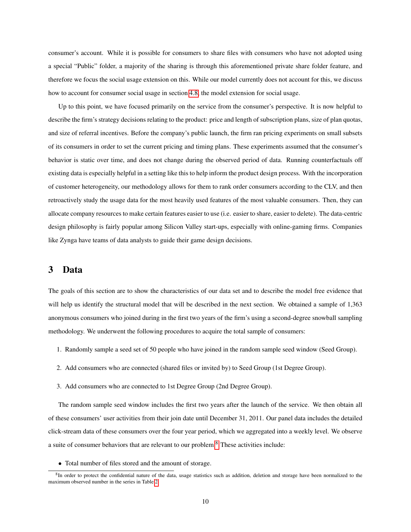consumer's account. While it is possible for consumers to share files with consumers who have not adopted using a special "Public" folder, a majority of the sharing is through this aforementioned private share folder feature, and therefore we focus the social usage extension on this. While our model currently does not account for this, we discuss how to account for consumer social usage in section [4.8,](#page-23-0) the model extension for social usage.

Up to this point, we have focused primarily on the service from the consumer's perspective. It is now helpful to describe the firm's strategy decisions relating to the product: price and length of subscription plans, size of plan quotas, and size of referral incentives. Before the company's public launch, the firm ran pricing experiments on small subsets of its consumers in order to set the current pricing and timing plans. These experiments assumed that the consumer's behavior is static over time, and does not change during the observed period of data. Running counterfactuals off existing data is especially helpful in a setting like this to help inform the product design process. With the incorporation of customer heterogeneity, our methodology allows for them to rank order consumers according to the CLV, and then retroactively study the usage data for the most heavily used features of the most valuable consumers. Then, they can allocate company resources to make certain features easier to use (i.e. easier to share, easier to delete). The data-centric design philosophy is fairly popular among Silicon Valley start-ups, especially with online-gaming firms. Companies like Zynga have teams of data analysts to guide their game design decisions.

## 3 Data

The goals of this section are to show the characteristics of our data set and to describe the model free evidence that will help us identify the structural model that will be described in the next section. We obtained a sample of 1,363 anonymous consumers who joined during in the first two years of the firm's using a second-degree snowball sampling methodology. We underwent the following procedures to acquire the total sample of consumers:

- 1. Randomly sample a seed set of 50 people who have joined in the random sample seed window (Seed Group).
- 2. Add consumers who are connected (shared files or invited by) to Seed Group (1st Degree Group).
- 3. Add consumers who are connected to 1st Degree Group (2nd Degree Group).

The random sample seed window includes the first two years after the launch of the service. We then obtain all of these consumers' user activities from their join date until December 31, 2011. Our panel data includes the detailed click-stream data of these consumers over the four year period, which we aggregated into a weekly level. We observe a suite of consumer behaviors that are relevant to our problem.[8](#page-9-0) These activities include:

• Total number of files stored and the amount of storage.

<span id="page-9-0"></span><sup>&</sup>lt;sup>8</sup>In order to protect the confidential nature of the data, usage statistics such as addition, deletion and storage have been normalized to the maximum observed number in the series in Table [2.](#page-10-0)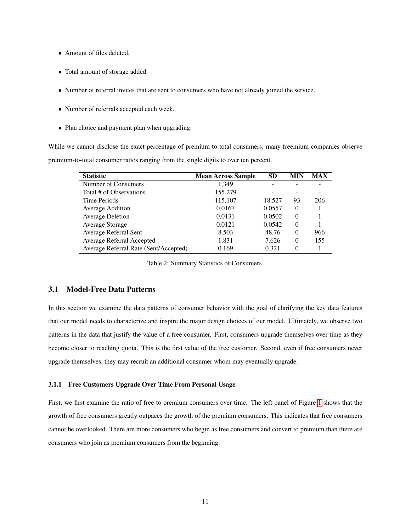- Amount of files deleted.
- Total amount of storage added.
- Number of referral invites that are sent to consumers who have not already joined the service.
- Number of referrals accepted each week.
- Plan choice and payment plan when upgrading.

While we cannot disclose the exact percentage of premium to total consumers, many freemium companies observe premium-to-total consumer ratios ranging from the single digits to over ten percent.

| <b>Statistic</b>                      | <b>Mean Across Sample</b> | <b>SD</b> | <b>MIN</b> | <b>MAX</b> |
|---------------------------------------|---------------------------|-----------|------------|------------|
| Number of Consumers                   | 1.349                     |           |            |            |
| Total # of Observations               | 155,279                   |           |            |            |
| Time Periods                          | 115.107                   | 18.527    | 93         | 206        |
| Average Addition                      | 0.0167                    | 0.0557    | $\Omega$   |            |
| <b>Average Deletion</b>               | 0.0131                    | 0.0502    | $\Omega$   |            |
| Average Storage                       | 0.0121                    | 0.0542    | $\Omega$   |            |
| Average Referral Sent                 | 8.503                     | 48.76     | $\Omega$   | 966        |
| Average Referral Accepted             | 1.831                     | 7.626     | $\Omega$   | 155        |
| Average Referral Rate (Sent/Accepted) | 0.169                     | 0.321     | $\Omega$   |            |

<span id="page-10-0"></span>Table 2: Summary Statistics of Consumers

## 3.1 Model-Free Data Patterns

In this section we examine the data patterns of consumer behavior with the goal of clarifying the key data features that our model needs to characterize and inspire the major design choices of our model. Ultimately, we observe two patterns in the data that justify the value of a free consumer. First, consumers upgrade themselves over time as they become closer to reaching quota. This is the first value of the free customer. Second, even if free consumers never upgrade themselves, they may recruit an additional consumer whom may eventually upgrade.

#### 3.1.1 Free Customers Upgrade Over Time From Personal Usage

First, we first examine the ratio of free to premium consumers over time. The left panel of Figure [1](#page-11-0) shows that the growth of free consumers greatly outpaces the growth of the premium consumers. This indicates that free consumers cannot be overlooked. There are more consumers who begin as free consumers and convert to premium than there are consumers who join as premium consumers from the beginning.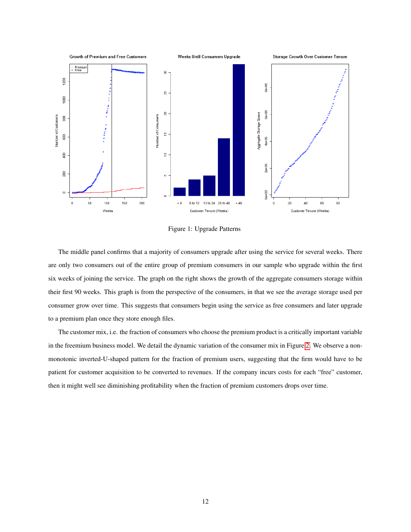

<span id="page-11-0"></span>Figure 1: Upgrade Patterns

The middle panel confirms that a majority of consumers upgrade after using the service for several weeks. There are only two consumers out of the entire group of premium consumers in our sample who upgrade within the first six weeks of joining the service. The graph on the right shows the growth of the aggregate consumers storage within their first 90 weeks. This graph is from the perspective of the consumers, in that we see the average storage used per consumer grow over time. This suggests that consumers begin using the service as free consumers and later upgrade to a premium plan once they store enough files.

The customer mix, i.e. the fraction of consumers who choose the premium product is a critically important variable in the freemium business model. We detail the dynamic variation of the consumer mix in Figure [2.](#page-12-0) We observe a nonmonotonic inverted-U-shaped pattern for the fraction of premium users, suggesting that the firm would have to be patient for customer acquisition to be converted to revenues. If the company incurs costs for each "free" customer, then it might well see diminishing profitability when the fraction of premium customers drops over time.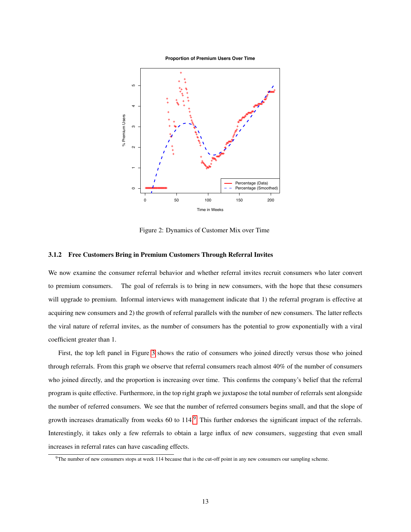**Proportion of Premium Users Over Time**



<span id="page-12-0"></span>Figure 2: Dynamics of Customer Mix over Time

## 3.1.2 Free Customers Bring in Premium Customers Through Referral Invites

We now examine the consumer referral behavior and whether referral invites recruit consumers who later convert to premium consumers. The goal of referrals is to bring in new consumers, with the hope that these consumers will upgrade to premium. Informal interviews with management indicate that 1) the referral program is effective at acquiring new consumers and 2) the growth of referral parallels with the number of new consumers. The latter reflects the viral nature of referral invites, as the number of consumers has the potential to grow exponentially with a viral coefficient greater than 1.

First, the top left panel in Figure [3](#page-13-0) shows the ratio of consumers who joined directly versus those who joined through referrals. From this graph we observe that referral consumers reach almost 40% of the number of consumers who joined directly, and the proportion is increasing over time. This confirms the company's belief that the referral program is quite effective. Furthermore, in the top right graph we juxtapose the total number of referrals sent alongside the number of referred consumers. We see that the number of referred consumers begins small, and that the slope of growth increases dramatically from weeks 60 to 114.<sup>[9](#page-12-1)</sup> This further endorses the significant impact of the referrals. Interestingly, it takes only a few referrals to obtain a large influx of new consumers, suggesting that even small increases in referral rates can have cascading effects.

<span id="page-12-1"></span><sup>9</sup>The number of new consumers stops at week 114 because that is the cut-off point in any new consumers our sampling scheme.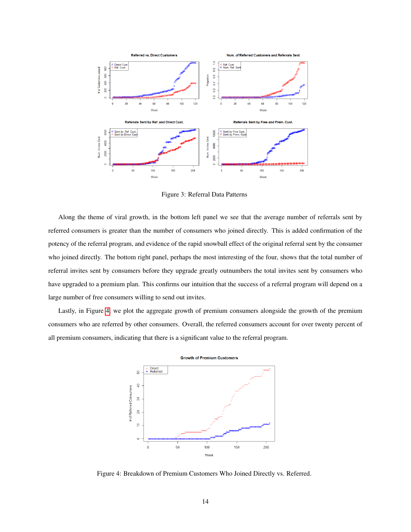

<span id="page-13-0"></span>Figure 3: Referral Data Patterns

Along the theme of viral growth, in the bottom left panel we see that the average number of referrals sent by referred consumers is greater than the number of consumers who joined directly. This is added confirmation of the potency of the referral program, and evidence of the rapid snowball effect of the original referral sent by the consumer who joined directly. The bottom right panel, perhaps the most interesting of the four, shows that the total number of referral invites sent by consumers before they upgrade greatly outnumbers the total invites sent by consumers who have upgraded to a premium plan. This confirms our intuition that the success of a referral program will depend on a large number of free consumers willing to send out invites.

Lastly, in Figure [4,](#page-13-1) we plot the aggregate growth of premium consumers alongside the growth of the premium consumers who are referred by other consumers. Overall, the referred consumers account for over twenty percent of all premium consumers, indicating that there is a significant value to the referral program.



<span id="page-13-1"></span>Figure 4: Breakdown of Premium Customers Who Joined Directly vs. Referred.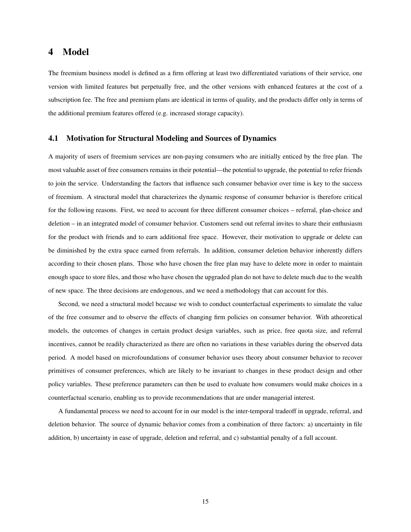# 4 Model

The freemium business model is defined as a firm offering at least two differentiated variations of their service, one version with limited features but perpetually free, and the other versions with enhanced features at the cost of a subscription fee. The free and premium plans are identical in terms of quality, and the products differ only in terms of the additional premium features offered (e.g. increased storage capacity).

## 4.1 Motivation for Structural Modeling and Sources of Dynamics

A majority of users of freemium services are non-paying consumers who are initially enticed by the free plan. The most valuable asset of free consumers remains in their potential—the potential to upgrade, the potential to refer friends to join the service. Understanding the factors that influence such consumer behavior over time is key to the success of freemium. A structural model that characterizes the dynamic response of consumer behavior is therefore critical for the following reasons. First, we need to account for three different consumer choices – referral, plan-choice and deletion – in an integrated model of consumer behavior. Customers send out referral invites to share their enthusiasm for the product with friends and to earn additional free space. However, their motivation to upgrade or delete can be diminished by the extra space earned from referrals. In addition, consumer deletion behavior inherently differs according to their chosen plans. Those who have chosen the free plan may have to delete more in order to maintain enough space to store files, and those who have chosen the upgraded plan do not have to delete much due to the wealth of new space. The three decisions are endogenous, and we need a methodology that can account for this.

Second, we need a structural model because we wish to conduct counterfactual experiments to simulate the value of the free consumer and to observe the effects of changing firm policies on consumer behavior. With atheoretical models, the outcomes of changes in certain product design variables, such as price, free quota size, and referral incentives, cannot be readily characterized as there are often no variations in these variables during the observed data period. A model based on microfoundations of consumer behavior uses theory about consumer behavior to recover primitives of consumer preferences, which are likely to be invariant to changes in these product design and other policy variables. These preference parameters can then be used to evaluate how consumers would make choices in a counterfactual scenario, enabling us to provide recommendations that are under managerial interest.

A fundamental process we need to account for in our model is the inter-temporal tradeoff in upgrade, referral, and deletion behavior. The source of dynamic behavior comes from a combination of three factors: a) uncertainty in file addition, b) uncertainty in ease of upgrade, deletion and referral, and c) substantial penalty of a full account.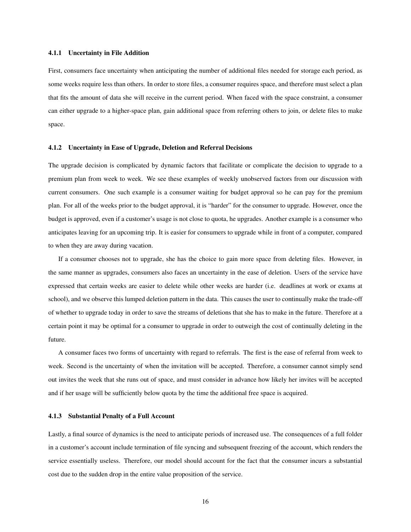#### 4.1.1 Uncertainty in File Addition

First, consumers face uncertainty when anticipating the number of additional files needed for storage each period, as some weeks require less than others. In order to store files, a consumer requires space, and therefore must select a plan that fits the amount of data she will receive in the current period. When faced with the space constraint, a consumer can either upgrade to a higher-space plan, gain additional space from referring others to join, or delete files to make space.

## 4.1.2 Uncertainty in Ease of Upgrade, Deletion and Referral Decisions

The upgrade decision is complicated by dynamic factors that facilitate or complicate the decision to upgrade to a premium plan from week to week. We see these examples of weekly unobserved factors from our discussion with current consumers. One such example is a consumer waiting for budget approval so he can pay for the premium plan. For all of the weeks prior to the budget approval, it is "harder" for the consumer to upgrade. However, once the budget is approved, even if a customer's usage is not close to quota, he upgrades. Another example is a consumer who anticipates leaving for an upcoming trip. It is easier for consumers to upgrade while in front of a computer, compared to when they are away during vacation.

If a consumer chooses not to upgrade, she has the choice to gain more space from deleting files. However, in the same manner as upgrades, consumers also faces an uncertainty in the ease of deletion. Users of the service have expressed that certain weeks are easier to delete while other weeks are harder (i.e. deadlines at work or exams at school), and we observe this lumped deletion pattern in the data. This causes the user to continually make the trade-off of whether to upgrade today in order to save the streams of deletions that she has to make in the future. Therefore at a certain point it may be optimal for a consumer to upgrade in order to outweigh the cost of continually deleting in the future.

A consumer faces two forms of uncertainty with regard to referrals. The first is the ease of referral from week to week. Second is the uncertainty of when the invitation will be accepted. Therefore, a consumer cannot simply send out invites the week that she runs out of space, and must consider in advance how likely her invites will be accepted and if her usage will be sufficiently below quota by the time the additional free space is acquired.

#### 4.1.3 Substantial Penalty of a Full Account

Lastly, a final source of dynamics is the need to anticipate periods of increased use. The consequences of a full folder in a customer's account include termination of file syncing and subsequent freezing of the account, which renders the service essentially useless. Therefore, our model should account for the fact that the consumer incurs a substantial cost due to the sudden drop in the entire value proposition of the service.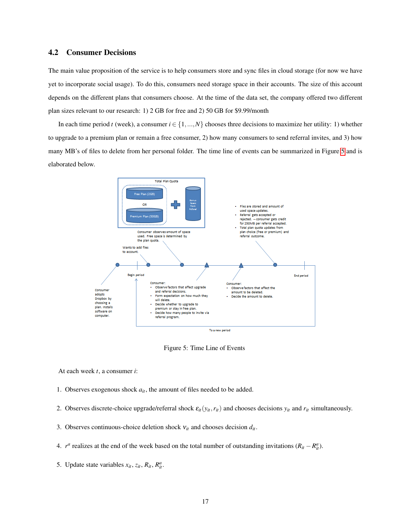## 4.2 Consumer Decisions

The main value proposition of the service is to help consumers store and sync files in cloud storage (for now we have yet to incorporate social usage). To do this, consumers need storage space in their accounts. The size of this account depends on the different plans that consumers choose. At the time of the data set, the company offered two different plan sizes relevant to our research: 1) 2 GB for free and 2) 50 GB for \$9.99/month

In each time period *t* (week), a consumer  $i \in \{1,...,N\}$  chooses three decisions to maximize her utility: 1) whether to upgrade to a premium plan or remain a free consumer, 2) how many consumers to send referral invites, and 3) how many MB's of files to delete from her personal folder. The time line of events can be summarized in Figure [5](#page-16-0) and is elaborated below.



<span id="page-16-0"></span>Figure 5: Time Line of Events

At each week *t*, a consumer *i*:

- 1. Observes exogenous shock *ait*, the amount of files needed to be added.
- 2. Observes discrete-choice upgrade/referral shock  $\varepsilon_i(y_i, r_i)$  and chooses decisions  $y_i$  and  $r_i$  simultaneously.
- 3. Observes continuous-choice deletion shock  $v_{it}$  and chooses decision  $d_{it}$ .
- 4. *r<sup>a</sup>* realizes at the end of the week based on the total number of outstanding invitations  $(R_{it} R_{it}^a)$ .
- 5. Update state variables  $x_{it}$ ,  $z_{it}$ ,  $R_{it}$ ,  $R_{it}^{a}$ .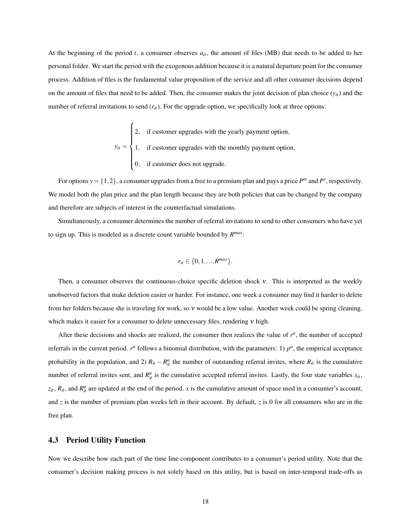At the beginning of the period  $t$ , a consumer observes  $a_{it}$ , the amount of files (MB) that needs to be added to her personal folder. We start the period with the exogenous addition because it is a natural departure point for the consumer process. Addition of files is the fundamental value proposition of the service and all other consumer decisions depend on the amount of files that need to be added. Then, the consumer makes the joint decision of plan choice  $(y_{it})$  and the number of referral invitations to send ( $r$ <sup>*it*</sup>). For the upgrade option, we specifically look at three options:

> $y_{it} =$  $\sqrt{ }$  $\int$  $\overline{\mathcal{L}}$ 2, if customer upgrades with the yearly payment option, 1, if customer upgrades with the monthly payment option, 0, if customer does not upgrade.

For options  $y = \{1, 2\}$ , a consumer upgrades from a free to a premium plan and pays a price  $P^m$  and  $P^y$ , respectively. We model both the plan price and the plan length because they are both policies that can be changed by the company and therefore are subjects of interest in the counterfactual simulations.

Simultaneously, a consumer determines the number of referral invitations to send to other consumers who have yet to sign up. This is modeled as a discrete count variable bounded by *R max*:

$$
r_{it} \in \{0, 1, ..., R^{max}\}.
$$

Then, a consumer observes the continuous-choice specific deletion shock ν. This is interpreted as the weekly unobserved factors that make deletion easier or harder. For instance, one week a consumer may find it harder to delete from her folders because she is traveling for work, so ν would be a low value. Another week could be spring cleaning, which makes it easier for a consumer to delete unnecessary files, rendering  $v$  high.

After these decisions and shocks are realized, the consumer then realizes the value of  $r<sup>a</sup>$ , the number of accepted referrals in the current period.  $r^a$  follows a binomial distribution, with the parameters: 1)  $p^a$ , the empirical acceptance probability in the population, and 2)  $R_{it} - R_{it}^a$  the number of outstanding referral invites, where  $R_{it}$  is the cumulative number of referral invites sent, and  $R_{it}^a$  is the cumulative accepted referral invites. Lastly, the four state variables  $x_i$ ,  $z_{it}$ ,  $R_{it}$ , and  $R_{it}^a$  are updated at the end of the period. *x* is the cumulative amount of space used in a consumer's account, and *z* is the number of premium plan weeks left in their account. By default, *z* is 0 for all consumers who are in the free plan.

## 4.3 Period Utility Function

Now we describe how each part of the time line component contributes to a consumer's period utility. Note that the consumer's decision making process is not solely based on this utility, but is based on inter-temporal trade-offs as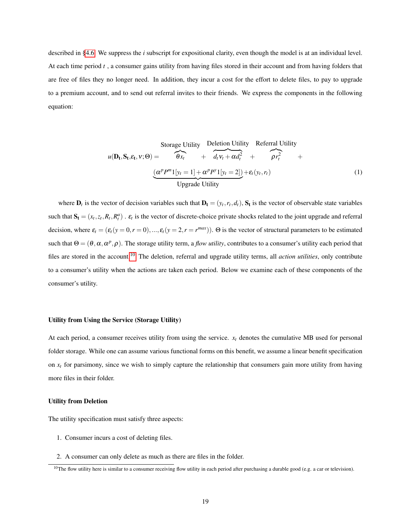described in [§4.6.](#page-21-0) We suppress the *i* subscript for expositional clarity, even though the model is at an individual level. At each time period *t* , a consumer gains utility from having files stored in their account and from having folders that are free of files they no longer need. In addition, they incur a cost for the effort to delete files, to pay to upgrade to a premium account, and to send out referral invites to their friends. We express the components in the following equation:

<span id="page-18-1"></span>Storage Utility Deletion Utility Referral Utility  
\n
$$
u(\mathbf{D_t}, \mathbf{S_t}, \varepsilon_t, v; \Theta) = \overbrace{\theta x_t}^{\theta x_t} + \overbrace{d_t v_t + \alpha d_t^2}^{\text{Deletion Utility}} + \overbrace{\rho r_t^2}^{\text{Referral Utility}} + \overbrace{c_t v_t, r_t}^{\text{OPE}} + \left(\frac{\alpha^p P^m 1[v_t = 1] + \alpha^p P^v 1[v_t = 2]}{\text{Upgrade Utility}}}^{\text{Storage Utility}} + \varepsilon_t (y_t, r_t)
$$
\n(1)

where  $D_t$  is the vector of decision variables such that  $D_t = (y_t, r_t, d_t)$ ,  $S_t$  is the vector of observable state variables such that  $S_t = (x_t, z_t, R_t, R_t^a)$ .  $\varepsilon_t$  is the vector of discrete-choice private shocks related to the joint upgrade and referral decision, where  $\varepsilon_t = (\varepsilon_t(y=0, r=0), ..., \varepsilon_t(y=2, r=r^{max}))$ .  $\Theta$  is the vector of structural parameters to be estimated such that  $\Theta = (\theta, \alpha, \alpha^p, \rho)$ . The storage utility term, a *flow utility*, contributes to a consumer's utility each period that files are stored in the account.[10](#page-18-0) The deletion, referral and upgrade utility terms, all *action utilities*, only contribute to a consumer's utility when the actions are taken each period. Below we examine each of these components of the consumer's utility.

#### Utility from Using the Service (Storage Utility)

At each period, a consumer receives utility from using the service.  $x_t$  denotes the cumulative MB used for personal folder storage. While one can assume various functional forms on this benefit, we assume a linear benefit specification on  $x_t$  for parsimony, since we wish to simply capture the relationship that consumers gain more utility from having more files in their folder.

#### Utility from Deletion

The utility specification must satisfy three aspects:

- 1. Consumer incurs a cost of deleting files.
- 2. A consumer can only delete as much as there are files in the folder.

<span id="page-18-0"></span><sup>&</sup>lt;sup>10</sup>The flow utility here is similar to a consumer receiving flow utility in each period after purchasing a durable good (e.g. a car or television).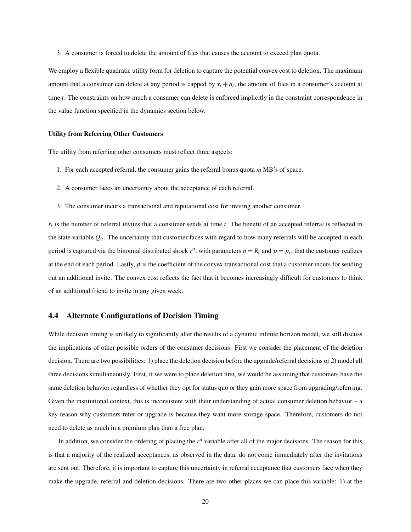3. A consumer is forced to delete the amount of files that causes the account to exceed plan quota.

We employ a flexible quadratic utility form for deletion to capture the potential convex cost to deletion. The maximum amount that a consumer can delete at any period is capped by  $x_t + a_t$ , the amount of files in a consumer's account at time *t*. The constraints on how much a consumer can delete is enforced implicitly in the constraint correspondence in the value function specified in the dynamics section below.

#### Utility from Referring Other Customers

The utility from referring other consumers must reflect three aspects:

- 1. For each accepted referral, the consumer gains the referral bonus quota *m* MB's of space.
- 2. A consumer faces an uncertainty about the acceptance of each referral.
- 3. The consumer incurs a transactional and reputational cost for inviting another consumer.

*rt* is the number of referral invites that a consumer sends at time *t*. The benefit of an accepted referral is reflected in the state variable  $Q_{it}$ . The uncertainty that customer faces with regard to how many referrals will be accepted in each period is captured via the binomial distributed shock  $r^a$ , with parameters  $n = R_t$  and  $p = p_r$ , that the customer realizes at the end of each period. Lastly,  $\rho$  is the coefficient of the convex transactional cost that a customer incurs for sending out an additional invite. The convex cost reflects the fact that it becomes increasingly difficult for customers to think of an additional friend to invite in any given week.

## 4.4 Alternate Configurations of Decision Timing

While decision timing is unlikely to significantly alter the results of a dynamic infinite horizon model, we still discuss the implications of other possible orders of the consumer decisions. First we consider the placement of the deletion decision. There are two possibilities: 1) place the deletion decision before the upgrade/referral decisions or 2) model all three decisions simultaneously. First, if we were to place deletion first, we would be assuming that customers have the same deletion behavior regardless of whether they opt for status quo or they gain more space from upgrading/referring. Given the institutional context, this is inconsistent with their understanding of actual consumer deletion behavior – a key reason why customers refer or upgrade is because they want more storage space. Therefore, customers do not need to delete as much in a premium plan than a free plan.

In addition, we consider the ordering of placing the  $r<sup>a</sup>$  variable after all of the major decisions. The reason for this is that a majority of the realized acceptances, as observed in the data, do not come immediately after the invitations are sent out. Therefore, it is important to capture this uncertainty in referral acceptance that customers face when they make the upgrade, referral and deletion decisions. There are two other places we can place this variable: 1) at the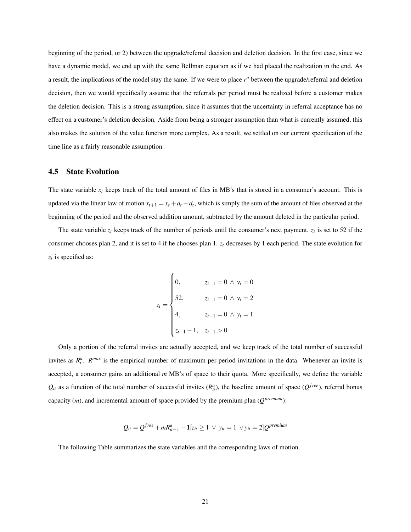beginning of the period, or 2) between the upgrade/referral decision and deletion decision. In the first case, since we have a dynamic model, we end up with the same Bellman equation as if we had placed the realization in the end. As a result, the implications of the model stay the same. If we were to place *r <sup>a</sup>* between the upgrade/referral and deletion decision, then we would specifically assume that the referrals per period must be realized before a customer makes the deletion decision. This is a strong assumption, since it assumes that the uncertainty in referral acceptance has no effect on a customer's deletion decision. Aside from being a stronger assumption than what is currently assumed, this also makes the solution of the value function more complex. As a result, we settled on our current specification of the time line as a fairly reasonable assumption.

#### 4.5 State Evolution

The state variable  $x_t$  keeps track of the total amount of files in MB's that is stored in a consumer's account. This is updated via the linear law of motion  $x_{t+1} = x_t + a_t - d_t$ , which is simply the sum of the amount of files observed at the beginning of the period and the observed addition amount, subtracted by the amount deleted in the particular period.

The state variable  $z_t$  keeps track of the number of periods until the consumer's next payment.  $z_t$  is set to 52 if the consumer chooses plan 2, and it is set to 4 if he chooses plan 1. *z<sup>t</sup>* decreases by 1 each period. The state evolution for *zt* is specified as:

$$
z_{t} = \begin{cases} 0, & z_{t-1} = 0 \land y_{t} = 0 \\ 52, & z_{t-1} = 0 \land y_{t} = 2 \\ 4, & z_{t-1} = 0 \land y_{t} = 1 \\ z_{t-1} - 1, & z_{t-1} > 0 \end{cases}
$$

Only a portion of the referral invites are actually accepted, and we keep track of the total number of successful invites as  $R_t^a$ .  $R^{max}$  is the empirical number of maximum per-period invitations in the data. Whenever an invite is accepted, a consumer gains an additional *m* MB's of space to their quota. More specifically, we define the variable  $Q_{it}$  as a function of the total number of successful invites  $(R_{it}^a)$ , the baseline amount of space  $(Q^{free})$ , referral bonus capacity (*m*), and incremental amount of space provided by the premium plan (*Q premium*):

$$
Q_{it} = Q^{free} + mR_{it-1}^a + \mathbf{1}[z_{it} \ge 1 \ \lor \ y_{it} = 1 \ \lor y_{it} = 2]Q^{premium}
$$

The following Table summarizes the state variables and the corresponding laws of motion.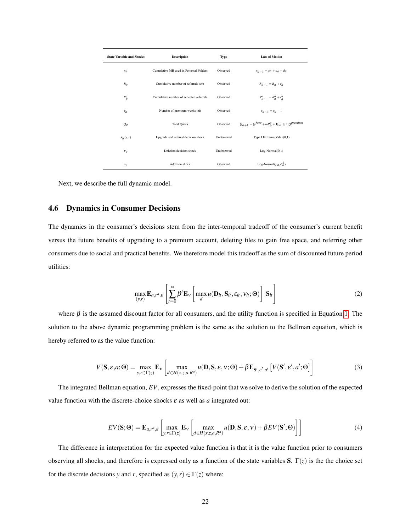| <b>State Variable and Shocks</b> | <b>Description</b>                      | Type       | <b>Law of Motion</b>                                               |
|----------------------------------|-----------------------------------------|------------|--------------------------------------------------------------------|
| $x_{it}$                         | Cumulative MB used in Personal Folders  | Observed   | $x_{it+1} = x_{it} + a_{it} - d_{it}$                              |
| $R_{it}$                         | Cumulative number of referrals sent     | Observed   | $R_{it+1} = R_{it} + r_{it}$                                       |
| $R_{it}^{a}$                     | Cumulative number of accepted referrals | Observed   | $R_{it+1}^a = R_{it}^a + r_{it}^a$                                 |
| $z_{it}$                         | Number of premium weeks left            | Observed   | $z_{it+1} = z_{it} - 1$                                            |
| $Q_{it}$                         | <b>Total Quota</b>                      | Observed   | $Q_{it+1} = Q^{free} + mR_{it}^{a} + 1[z_{it}] \ge 1] Q^{premium}$ |
| $\varepsilon_{it}(y,r)$          | Upgrade and referral decision shock     | Unobserved | Type I Extreme-Value $(0,1)$                                       |
| $v_{it}$                         | Deletion decision shock                 | Unobserved | $Log-Normal(0,1)$                                                  |
| $a_{it}$                         | <b>Addition</b> shock                   | Observed   | Log-Normal $(\mu_a, \sigma_a^2)$                                   |

Next, we describe the full dynamic model.

## <span id="page-21-0"></span>4.6 Dynamics in Consumer Decisions

The dynamics in the consumer's decisions stem from the inter-temporal tradeoff of the consumer's current benefit versus the future benefits of upgrading to a premium account, deleting files to gain free space, and referring other consumers due to social and practical benefits. We therefore model this tradeoff as the sum of discounted future period utilities:

$$
\max_{(y,r)} \mathbf{E}_{a,r^a,\varepsilon} \left[ \sum_{t=0}^{\infty} \beta^t \mathbf{E}_v \left[ \max_{d} u(\mathbf{D}_{it}, \mathbf{S}_{it}, \varepsilon_{it}, \mathbf{v}_{it}; \Theta) \right] | \mathbf{S}_{it} \right]
$$
(2)

where  $\beta$  is the assumed discount factor for all consumers, and the utility function is specified in Equation [1.](#page-18-1) The solution to the above dynamic programming problem is the same as the solution to the Bellman equation, which is hereby referred to as the value function:

<span id="page-21-2"></span>
$$
V(\mathbf{S}, \varepsilon, a; \Theta) = \max_{y, r \in \Gamma(z)} \mathbf{E}_v \left[ \max_{d \in H(x, z, a, R^a)} u(\mathbf{D}, \mathbf{S}, \varepsilon, v; \Theta) + \beta \mathbf{E}_{\mathbf{S}', \varepsilon', a'} \left[ V(\mathbf{S}', \varepsilon', a'; \Theta) \right] \right]
$$
(3)

The integrated Bellman equation, *EV*, expresses the fixed-point that we solve to derive the solution of the expected value function with the discrete-choice shocks  $\varepsilon$  as well as  $a$  integrated out:

<span id="page-21-1"></span>
$$
EV(\mathbf{S};\Theta) = \mathbf{E}_{a,r^a,\varepsilon} \left[ \max_{y,r \in \Gamma(z)} \mathbf{E}_v \left[ \max_{d \in H(x,z,a,R^a)} u(\mathbf{D}, \mathbf{S}, \varepsilon, v) + \beta EV(\mathbf{S}'; \Theta) \right] \right]
$$
(4)

The difference in interpretation for the expected value function is that it is the value function prior to consumers observing all shocks, and therefore is expressed only as a function of the state variables S.  $\Gamma(z)$  is the the choice set for the discrete decisions *y* and *r*, specified as  $(y, r) \in \Gamma(z)$  where: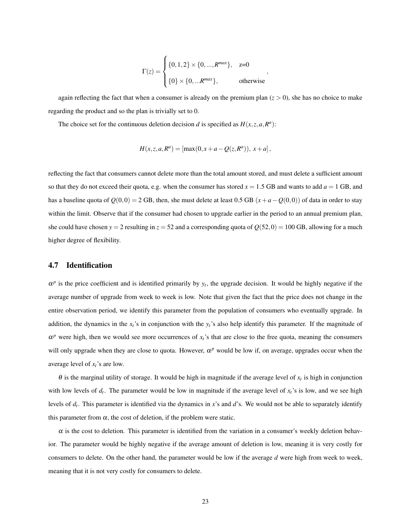$$
\Gamma(z) = \begin{cases} \{0, 1, 2\} \times \{0, ..., R^{max}\}, & z=0 \\ \{0\} \times \{0, ... R^{max}\}, & \text{otherwise} \end{cases}
$$

,

again reflecting the fact that when a consumer is already on the premium plan  $(z > 0)$ , she has no choice to make regarding the product and so the plan is trivially set to 0.

The choice set for the continuous deletion decision *d* is specified as  $H(x, z, a, R<sup>a</sup>)$ :

$$
H(x, z, a, R^{a}) = [\max(0, x + a - Q(z, R^{a})), x + a],
$$

reflecting the fact that consumers cannot delete more than the total amount stored, and must delete a sufficient amount so that they do not exceed their quota, e.g. when the consumer has stored  $x = 1.5$  GB and wants to add  $a = 1$  GB, and has a baseline quota of  $Q(0,0) = 2$  GB, then, she must delete at least 0.5 GB ( $x + a - Q(0,0)$ ) of data in order to stay within the limit. Observe that if the consumer had chosen to upgrade earlier in the period to an annual premium plan, she could have chosen  $y = 2$  resulting in  $z = 52$  and a corresponding quota of  $Q(52,0) = 100$  GB, allowing for a much higher degree of flexibility.

## 4.7 Identification

 $\alpha^p$  is the price coefficient and is identified primarily by  $y_t$ , the upgrade decision. It would be highly negative if the average number of upgrade from week to week is low. Note that given the fact that the price does not change in the entire observation period, we identify this parameter from the population of consumers who eventually upgrade. In addition, the dynamics in the *xt*'s in conjunction with the *yt*'s also help identify this parameter. If the magnitude of  $\alpha^p$  were high, then we would see more occurrences of  $x_t$ 's that are close to the free quota, meaning the consumers will only upgrade when they are close to quota. However,  $\alpha^p$  would be low if, on average, upgrades occur when the average level of *xt*'s are low.

 $\theta$  is the marginal utility of storage. It would be high in magnitude if the average level of  $x_t$  is high in conjunction with low levels of  $d_t$ . The parameter would be low in magnitude if the average level of  $x_t$ 's is low, and we see high levels of *d<sup>t</sup>* . This parameter is identified via the dynamics in *x*'s and *d*'s. We would not be able to separately identify this parameter from  $\alpha$ , the cost of deletion, if the problem were static.

 $\alpha$  is the cost to deletion. This parameter is identified from the variation in a consumer's weekly deletion behavior. The parameter would be highly negative if the average amount of deletion is low, meaning it is very costly for consumers to delete. On the other hand, the parameter would be low if the average *d* were high from week to week, meaning that it is not very costly for consumers to delete.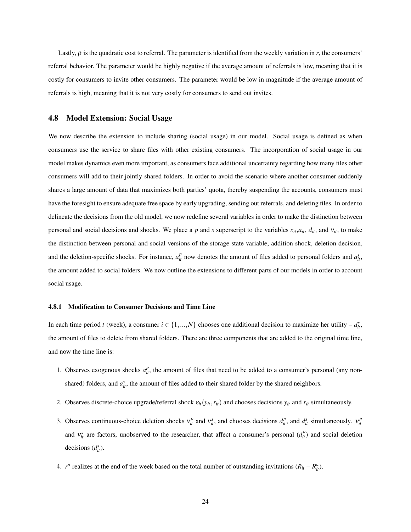Lastly,  $\rho$  is the quadratic cost to referral. The parameter is identified from the weekly variation in *r*, the consumers' referral behavior. The parameter would be highly negative if the average amount of referrals is low, meaning that it is costly for consumers to invite other consumers. The parameter would be low in magnitude if the average amount of referrals is high, meaning that it is not very costly for consumers to send out invites.

## <span id="page-23-0"></span>4.8 Model Extension: Social Usage

We now describe the extension to include sharing (social usage) in our model. Social usage is defined as when consumers use the service to share files with other existing consumers. The incorporation of social usage in our model makes dynamics even more important, as consumers face additional uncertainty regarding how many files other consumers will add to their jointly shared folders. In order to avoid the scenario where another consumer suddenly shares a large amount of data that maximizes both parties' quota, thereby suspending the accounts, consumers must have the foresight to ensure adequate free space by early upgrading, sending out referrals, and deleting files. In order to delineate the decisions from the old model, we now redefine several variables in order to make the distinction between personal and social decisions and shocks. We place a p and *s* superscript to the variables  $x_{it}$ ,  $a_{it}$ ,  $a_{it}$ , and  $v_{it}$ , to make the distinction between personal and social versions of the storage state variable, addition shock, deletion decision, and the deletion-specific shocks. For instance,  $a_{it}^p$  now denotes the amount of files added to personal folders and  $a_{it}^s$ , the amount added to social folders. We now outline the extensions to different parts of our models in order to account social usage.

#### 4.8.1 Modification to Consumer Decisions and Time Line

In each time period *t* (week), a consumer  $i \in \{1, ..., N\}$  chooses one additional decision to maximize her utility  $-d_{it}^s$ , the amount of files to delete from shared folders. There are three components that are added to the original time line, and now the time line is:

- 1. Observes exogenous shocks  $a_{it}^p$ , the amount of files that need to be added to a consumer's personal (any nonshared) folders, and  $a_{it}^s$ , the amount of files added to their shared folder by the shared neighbors.
- 2. Observes discrete-choice upgrade/referral shock  $\varepsilon_{it}(y_{it}, r_{it})$  and chooses decisions  $y_{it}$  and  $r_{it}$  simultaneously.
- 3. Observes continuous-choice deletion shocks  $v_i^p$  and  $v_{ii}^s$ , and chooses decisions  $d_i^p$ , and  $d_i^s$  simultaneously.  $v_{it}^p$ and  $v_i^s$  are factors, unobserved to the researcher, that affect a consumer's personal  $(d_i^p)$  and social deletion decisions  $(d_{it}^s)$ .
- 4. *r<sup>a</sup>* realizes at the end of the week based on the total number of outstanding invitations  $(R_{it} R_{it}^a)$ .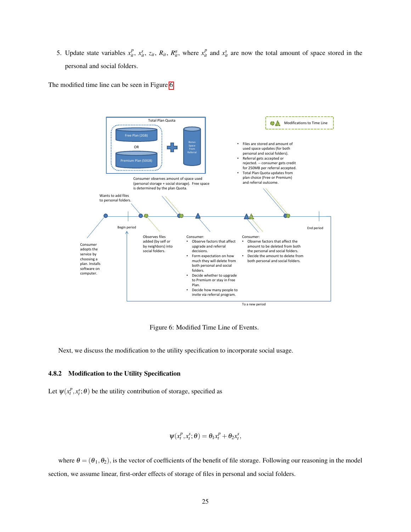5. Update state variables  $x_{ii}^p$ ,  $x_{ii}^s$ ,  $z_{ii}$ ,  $R_{ii}$ ,  $R_{ii}^a$ , where  $x_{ii}^p$  and  $x_{ii}^s$  are now the total amount of space stored in the personal and social folders.

The modified time line can be seen in Figure [6.](#page-24-0)



<span id="page-24-0"></span>Figure 6: Modified Time Line of Events.

Next, we discuss the modification to the utility specification to incorporate social usage.

#### 4.8.2 Modification to the Utility Specification

Let  $\psi(x_t^p, x_t^s; \theta)$  be the utility contribution of storage, specified as

$$
\psi(x_t^p, x_t^s; \theta) = \theta_1 x_t^p + \theta_2 x_t^s,
$$

where  $\theta = (\theta_1, \theta_2)$ , is the vector of coefficients of the benefit of file storage. Following our reasoning in the model section, we assume linear, first-order effects of storage of files in personal and social folders.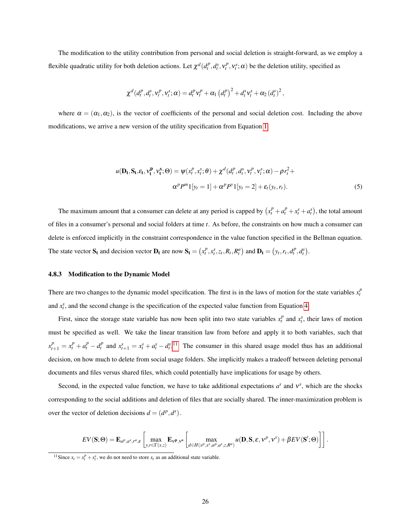The modification to the utility contribution from personal and social deletion is straight-forward, as we employ a flexible quadratic utility for both deletion actions. Let  $\chi^d(d_t^p, d_t^s, v_t^p, v_t^s; \alpha)$  be the deletion utility, specified as

$$
\chi^{d}(d_{t}^{p}, d_{t}^{s}, v_{t}^{p}, v_{t}^{s}; \alpha) = d_{t}^{p} v_{t}^{p} + \alpha_{1} (d_{t}^{p})^{2} + d_{t}^{s} v_{t}^{s} + \alpha_{2} (d_{t}^{s})^{2},
$$

where  $\alpha = (\alpha_1, \alpha_2)$ , is the vector of coefficients of the personal and social deletion cost. Including the above modifications, we arrive a new version of the utility specification from Equation [1:](#page-18-1)

$$
u(\mathbf{D_t}, \mathbf{S_t}, \varepsilon_t, v_t^{\mathbf{p}}, v_t^{\mathbf{s}}; \Theta) = \psi(x_t^p, x_t^s; \Theta) + \chi^d(d_t^p, d_t^s, v_t^p, v_t^s; \alpha) - \rho r_t^2 + \alpha^p P^m \mathbf{1}[y_t = 1] + \alpha^p P^v \mathbf{1}[y_t = 2] + \varepsilon_t(y_t, r_t).
$$
\n<sup>(5)</sup>

The maximum amount that a consumer can delete at any period is capped by  $(x_t^p + a_t^p + x_t^s + a_t^s)$ , the total amount of files in a consumer's personal and social folders at time *t*. As before, the constraints on how much a consumer can delete is enforced implicitly in the constraint correspondence in the value function specified in the Bellman equation. The state vector  $S_t$  and decision vector  $D_t$  are now  $S_t = (x_t^p, x_t^s, z_t, R_t, R_t^a)$  and  $D_t = (y_t, r_t, d_t^p, d_t^s)$ .

#### 4.8.3 Modification to the Dynamic Model

There are two changes to the dynamic model specification. The first is in the laws of motion for the state variables  $x_t^p$ and  $x_t^s$ , and the second change is the specification of the expected value function from Equation [4.](#page-21-1)

First, since the storage state variable has now been split into two state variables  $x_t^p$  and  $x_t^s$ , their laws of motion must be specified as well. We take the linear transition law from before and apply it to both variables, such that  $x_{t+1}^p = x_t^p + a_t^p - d_t^p$  and  $x_{t+1}^s = x_t^s + a_t^s - d_t^{s}$ .<sup>[11](#page-25-0)</sup> The consumer in this shared usage model thus has an additional decision, on how much to delete from social usage folders. She implicitly makes a tradeoff between deleting personal documents and files versus shared files, which could potentially have implications for usage by others.

Second, in the expected value function, we have to take additional expectations  $a^s$  and  $v^s$ , which are the shocks corresponding to the social additions and deletion of files that are socially shared. The inner-maximization problem is over the vector of deletion decisions  $d = (d^p, d^s)$ .

$$
EV(\mathbf{S};\Theta) = \mathbf{E}_{a^p,a^s,r^a,\varepsilon} \left[ \max_{y,r \in \Gamma(x,z)} \mathbf{E}_{\mathbf{v}^p,\mathbf{v}^s}\left[ \max_{d \in H(x^p,x^s,a^p,a^s,z,R^a)} u(\mathbf{D},\mathbf{S},\varepsilon,\mathbf{v}^p,\mathbf{v}^s) + \beta EV(\mathbf{S}';\Theta) \right] \right].
$$

<span id="page-25-0"></span><sup>&</sup>lt;sup>11</sup>Since  $x_t = x_t^p + x_t^s$ , we do not need to store  $x_t$  as an additional state variable.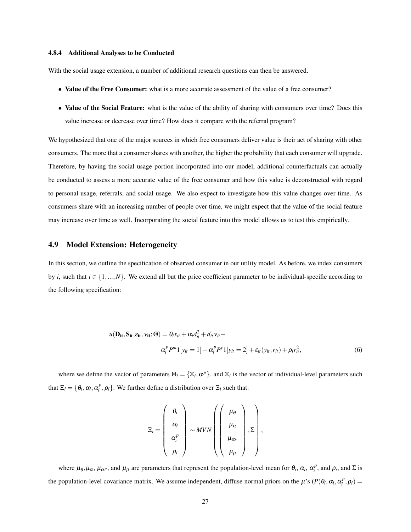#### 4.8.4 Additional Analyses to be Conducted

With the social usage extension, a number of additional research questions can then be answered.

- Value of the Free Consumer: what is a more accurate assessment of the value of a free consumer?
- Value of the Social Feature: what is the value of the ability of sharing with consumers over time? Does this value increase or decrease over time? How does it compare with the referral program?

We hypothesized that one of the major sources in which free consumers deliver value is their act of sharing with other consumers. The more that a consumer shares with another, the higher the probability that each consumer will upgrade. Therefore, by having the social usage portion incorporated into our model, additional counterfactuals can actually be conducted to assess a more accurate value of the free consumer and how this value is deconstructed with regard to personal usage, referrals, and social usage. We also expect to investigate how this value changes over time. As consumers share with an increasing number of people over time, we might expect that the value of the social feature may increase over time as well. Incorporating the social feature into this model allows us to test this empirically.

## <span id="page-26-0"></span>4.9 Model Extension: Heterogeneity

In this section, we outline the specification of observed consumer in our utility model. As before, we index consumers by *i*, such that  $i \in \{1,...,N\}$ . We extend all but the price coefficient parameter to be individual-specific according to the following specification:

$$
u(\mathbf{D}_{it}, \mathbf{S}_{it}, \varepsilon_{it}, v_{it}; \Theta) = \theta_i x_{it} + \alpha_i d_{it}^2 + d_{it} v_{it} +
$$
  

$$
\alpha_i^p P^m \mathbb{1}[y_{it} = 1] + \alpha_i^p P^v \mathbb{1}[y_{it} = 2] + \varepsilon_{it}(y_{it}, r_{it}) + \rho_i r_{it}^2,
$$
 (6)

where we define the vector of parameters  $\Theta_i = \{\Xi_i, \alpha^p\}$ , and  $\Xi_i$  is the vector of individual-level parameters such that  $\Xi_i = \{\theta_i, \alpha_i, \alpha_i^p, \rho_i\}$ . We further define a distribution over  $\Xi_i$  such that:

$$
\Xi_i = \left(\begin{array}{c}\theta_i \\ \alpha_i \\ \alpha_i^p \\ \rho_i\end{array}\right) \sim MVN\left(\left(\begin{array}{c}\mu_\theta \\ \mu_\alpha \\ \mu_{\alpha^p} \\ \mu_\rho\end{array}\right),\Sigma\right),
$$

where  $\mu_{\theta}, \mu_{\alpha}, \mu_{\alpha}$ , and  $\mu_{\rho}$  are parameters that represent the population-level mean for  $\theta_i$ ,  $\alpha_i$ ,  $\alpha_i^p$ , and  $\rho_i$ , and  $\Sigma$  is the population-level covariance matrix. We assume independent, diffuse normal priors on the  $\mu$ 's ( $P(\theta_i, \alpha_i, \alpha_i^p, \rho_i)$ )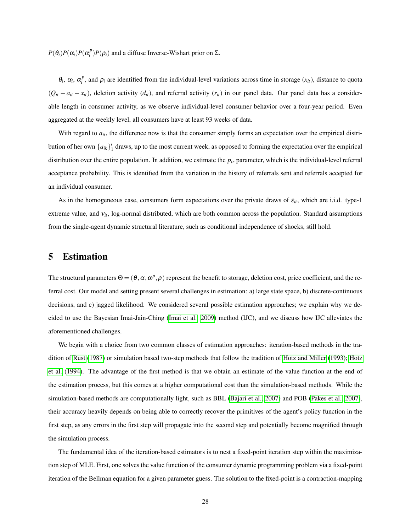$P(\theta_i)P(\alpha_i)P(\alpha_i^p)P(\rho_i)$  and a diffuse Inverse-Wishart prior on Σ.

 $\theta_i$ ,  $\alpha_i$ ,  $\alpha_i^p$ , and  $\rho_i$  are identified from the individual-level variations across time in storage  $(x_i)$ , distance to quota  $(Q_{it} - a_{it} - x_{it})$ , deletion activity  $(d_{it})$ , and referral activity  $(r_{it})$  in our panel data. Our panel data has a considerable length in consumer activity, as we observe individual-level consumer behavior over a four-year period. Even aggregated at the weekly level, all consumers have at least 93 weeks of data.

With regard to  $a_{it}$ , the difference now is that the consumer simply forms an expectation over the empirical distribution of her own  $\{a_{ik}\}_{1}^{t}$  draws, up to the most current week, as opposed to forming the expectation over the empirical distribution over the entire population. In addition, we estimate the *pir* parameter, which is the individual-level referral acceptance probability. This is identified from the variation in the history of referrals sent and referrals accepted for an individual consumer.

As in the homogeneous case, consumers form expectations over the private draws of  $\varepsilon_{it}$ , which are i.i.d. type-1 extreme value, and  $v_{it}$ , log-normal distributed, which are both common across the population. Standard assumptions from the single-agent dynamic structural literature, such as conditional independence of shocks, still hold.

# 5 Estimation

The structural parameters  $\Theta = (\theta, \alpha, \alpha^p, \rho)$  represent the benefit to storage, deletion cost, price coefficient, and the referral cost. Our model and setting present several challenges in estimation: a) large state space, b) discrete-continuous decisions, and c) jagged likelihood. We considered several possible estimation approaches; we explain why we decided to use the Bayesian Imai-Jain-Ching [\(Imai et al., 2009\)](#page-41-1) method (IJC), and we discuss how IJC alleviates the aforementioned challenges.

We begin with a choice from two common classes of estimation approaches: iteration-based methods in the tradition of [Rust](#page-41-9) [\(1987\)](#page-41-9) or simulation based two-step methods that follow the tradition of [Hotz and Miller](#page-40-11) [\(1993\)](#page-40-11); [Hotz](#page-41-13) [et al.](#page-41-13) [\(1994\)](#page-41-13). The advantage of the first method is that we obtain an estimate of the value function at the end of the estimation process, but this comes at a higher computational cost than the simulation-based methods. While the simulation-based methods are computationally light, such as BBL [\(Bajari et al., 2007\)](#page-40-10) and POB [\(Pakes et al., 2007\)](#page-41-14), their accuracy heavily depends on being able to correctly recover the primitives of the agent's policy function in the first step, as any errors in the first step will propagate into the second step and potentially become magnified through the simulation process.

The fundamental idea of the iteration-based estimators is to nest a fixed-point iteration step within the maximization step of MLE. First, one solves the value function of the consumer dynamic programming problem via a fixed-point iteration of the Bellman equation for a given parameter guess. The solution to the fixed-point is a contraction-mapping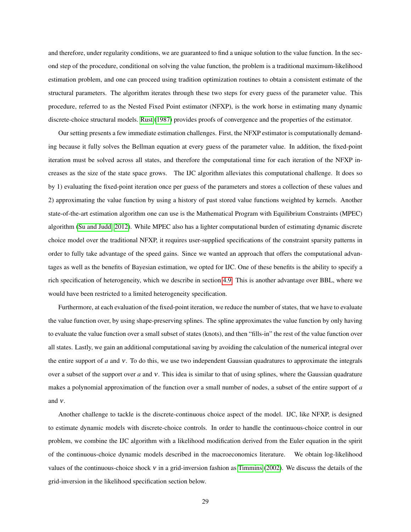and therefore, under regularity conditions, we are guaranteed to find a unique solution to the value function. In the second step of the procedure, conditional on solving the value function, the problem is a traditional maximum-likelihood estimation problem, and one can proceed using tradition optimization routines to obtain a consistent estimate of the structural parameters. The algorithm iterates through these two steps for every guess of the parameter value. This procedure, referred to as the Nested Fixed Point estimator (NFXP), is the work horse in estimating many dynamic discrete-choice structural models. [Rust](#page-41-9) [\(1987\)](#page-41-9) provides proofs of convergence and the properties of the estimator.

Our setting presents a few immediate estimation challenges. First, the NFXP estimator is computationally demanding because it fully solves the Bellman equation at every guess of the parameter value. In addition, the fixed-point iteration must be solved across all states, and therefore the computational time for each iteration of the NFXP increases as the size of the state space grows. The IJC algorithm alleviates this computational challenge. It does so by 1) evaluating the fixed-point iteration once per guess of the parameters and stores a collection of these values and 2) approximating the value function by using a history of past stored value functions weighted by kernels. Another state-of-the-art estimation algorithm one can use is the Mathematical Program with Equilibrium Constraints (MPEC) algorithm [\(Su and Judd, 2012\)](#page-42-2). While MPEC also has a lighter computational burden of estimating dynamic discrete choice model over the traditional NFXP, it requires user-supplied specifications of the constraint sparsity patterns in order to fully take advantage of the speed gains. Since we wanted an approach that offers the computational advantages as well as the benefits of Bayesian estimation, we opted for IJC. One of these benefits is the ability to specify a rich specification of heterogeneity, which we describe in section [4.9.](#page-26-0) This is another advantage over BBL, where we would have been restricted to a limited heterogeneity specification.

Furthermore, at each evaluation of the fixed-point iteration, we reduce the number of states, that we have to evaluate the value function over, by using shape-preserving splines. The spline approximates the value function by only having to evaluate the value function over a small subset of states (knots), and then "fills-in" the rest of the value function over all states. Lastly, we gain an additional computational saving by avoiding the calculation of the numerical integral over the entire support of *a* and ν. To do this, we use two independent Gaussian quadratures to approximate the integrals over a subset of the support over *a* and ν. This idea is similar to that of using splines, where the Gaussian quadrature makes a polynomial approximation of the function over a small number of nodes, a subset of the entire support of *a* and ν.

Another challenge to tackle is the discrete-continuous choice aspect of the model. IJC, like NFXP, is designed to estimate dynamic models with discrete-choice controls. In order to handle the continuous-choice control in our problem, we combine the IJC algorithm with a likelihood modification derived from the Euler equation in the spirit of the continuous-choice dynamic models described in the macroeconomics literature. We obtain log-likelihood values of the continuous-choice shock  $v$  in a grid-inversion fashion as [Timmins](#page-42-0) [\(2002\)](#page-42-0). We discuss the details of the grid-inversion in the likelihood specification section below.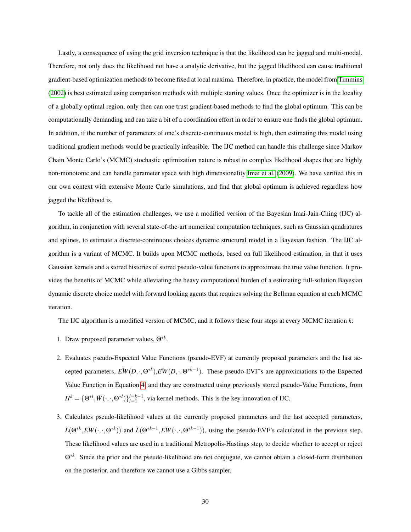Lastly, a consequence of using the grid inversion technique is that the likelihood can be jagged and multi-modal. Therefore, not only does the likelihood not have a analytic derivative, but the jagged likelihood can cause traditional gradient-based optimization methods to become fixed at local maxima. Therefore, in practice, the model from [Timmins](#page-42-0) [\(2002\)](#page-42-0) is best estimated using comparison methods with multiple starting values. Once the optimizer is in the locality of a globally optimal region, only then can one trust gradient-based methods to find the global optimum. This can be computationally demanding and can take a bit of a coordination effort in order to ensure one finds the global optimum. In addition, if the number of parameters of one's discrete-continuous model is high, then estimating this model using traditional gradient methods would be practically infeasible. The IJC method can handle this challenge since Markov Chain Monte Carlo's (MCMC) stochastic optimization nature is robust to complex likelihood shapes that are highly non-monotonic and can handle parameter space with high dimensionality [Imai et al.](#page-41-1) [\(2009\)](#page-41-1). We have verified this in our own context with extensive Monte Carlo simulations, and find that global optimum is achieved regardless how jagged the likelihood is.

To tackle all of the estimation challenges, we use a modified version of the Bayesian Imai-Jain-Ching (IJC) algorithm, in conjunction with several state-of-the-art numerical computation techniques, such as Gaussian quadratures and splines, to estimate a discrete-continuous choices dynamic structural model in a Bayesian fashion. The IJC algorithm is a variant of MCMC. It builds upon MCMC methods, based on full likelihood estimation, in that it uses Gaussian kernels and a stored histories of stored pseudo-value functions to approximate the true value function. It provides the benefits of MCMC while alleviating the heavy computational burden of a estimating full-solution Bayesian dynamic discrete choice model with forward looking agents that requires solving the Bellman equation at each MCMC iteration.

The IJC algorithm is a modified version of MCMC, and it follows these four steps at every MCMC iteration *k*:

- 1. Draw proposed parameter values, Θ∗*<sup>k</sup>* .
- 2. Evaluates pseudo-Expected Value Functions (pseudo-EVF) at currently proposed parameters and the last accepted parameters,  $\tilde{EW}(D,\cdot,\Theta^{*k})$ , $\tilde{EW}(D,\cdot,\Theta^{*k-1})$ . These pseudo-EVF's are approximations to the Expected Value Function in Equation [4,](#page-21-1) and they are constructed using previously stored pseudo-Value Functions, from  $H^k = \{ \Theta^{*l}, \tilde{W}(\cdot, \cdot, \Theta^{*l}) \}_{l=1}^{l=k-1}$ , via kernel methods. This is the key innovation of IJC.
- 3. Calculates pseudo-likelihood values at the currently proposed parameters and the last accepted parameters,  $\tilde{L}(\Theta^{*k}, E\tilde{W}(\cdot,\cdot,\Theta^{*k}))$  and  $\tilde{L}(\Theta^{*k-1}, E\tilde{W}(\cdot,\cdot,\Theta^{*k-1}))$ , using the pseudo-EVF's calculated in the previous step. These likelihood values are used in a traditional Metropolis-Hastings step, to decide whether to accept or reject Θ∗*<sup>k</sup>* . Since the prior and the pseudo-likelihood are not conjugate, we cannot obtain a closed-form distribution on the posterior, and therefore we cannot use a Gibbs sampler.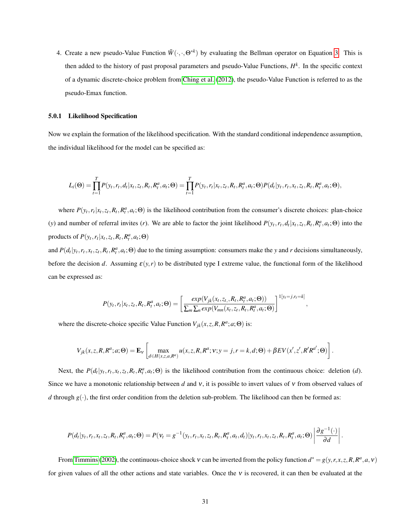4. Create a new pseudo-Value Function  $\tilde{W}(\cdot,\cdot,\Theta^{*k})$  by evaluating the Bellman operator on Equation [3.](#page-21-2) This is then added to the history of past proposal parameters and pseudo-Value Functions, *H k* . In the specific context of a dynamic discrete-choice problem from [Ching et al.](#page-40-12) [\(2012\)](#page-40-12), the pseudo-Value Function is referred to as the pseudo-Emax function.

#### 5.0.1 Likelihood Specification

Now we explain the formation of the likelihood specification. With the standard conditional independence assumption, the individual likelihood for the model can be specified as:

$$
L_i(\Theta) = \prod_{t=1}^T P(y_t, r_t, d_t | x_t, z_t, R_t, R_t^a, a_t; \Theta) = \prod_{t=1}^T P(y_t, r_t | x_t, z_t, R_t, R_t^a, a_t; \Theta) P(d_t | y_t, r_t, x_t, z_t, R_t, R_t^a, a_t; \Theta),
$$

where  $P(y_t, r_t | x_t, z_t, R_t, R_t^a, a_t; \Theta)$  is the likelihood contribution from the consumer's discrete choices: plan-choice (y) and number of referral invites (r). We are able to factor the joint likelihood  $P(y_t, r_t, d_t | x_t, z_t, R_t, R_t^a, a_t; \Theta)$  into the products of  $P(y_t, r_t | x_t, z_t, R_t, R_t^a, a_t; \Theta)$ 

and  $P(d_t|y_t, r_t, x_t, z_t, R_t, R_t^a, a_t; \Theta)$  due to the timing assumption: consumers make the y and r decisions simultaneously, before the decision *d*. Assuming  $\varepsilon(y, r)$  to be distributed type I extreme value, the functional form of the likelihood can be expressed as:

$$
P(y_t, r_t | x_t, z_t, R_t, R_t^a, a_t; \Theta) = \left[ \frac{exp(V_{jk}(x_t, z_t, R_t, R_t^a, a_t; \Theta))}{\sum_m \sum_n exp(V_{mn}(x_t, z_t, R_t, R_t^a, a_t; \Theta))} \right]^{1[y_t = j, r_t = k]},
$$

where the discrete-choice specific Value Function  $V_{jk}(x, z, R, R^a; a; \Theta)$  is:

$$
V_{jk}(x,z,R,R^a;a;\Theta) = \mathbf{E}_v \left[ \max_{d \in H(x,z,a,R^a)} u(x,z,R,R^a;v;y=j,r=k,d;\Theta) + \beta EV(x',z',R'R^{a'};\Theta) \right].
$$

Next, the  $P(d_t|y_t, r_t, x_t, z_t, R_t, R_t^a, a_t; \Theta)$  is the likelihood contribution from the continuous choice: deletion (d). Since we have a monotonic relationship between *d* and ν, it is possible to invert values of ν from observed values of *d* through  $g(\cdot)$ , the first order condition from the deletion sub-problem. The likelihood can then be formed as:

$$
P(d_t|y_t, r_t, x_t, z_t, R_t, R_t^a, a_t; \Theta) = P(\mathbf{v}_t = g^{-1}(y_t, r_t, x_t, z_t, R_t, R_t^a, a_t, d_t)|y_t, r_t, x_t, z_t, R_t, R_t^a, a_t; \Theta) \left| \frac{\partial g^{-1}(\cdot)}{\partial d} \right|.
$$

From [Timmins](#page-42-0) [\(2002\)](#page-42-0), the continuous-choice shock  $v$  can be inverted from the policy function  $d^* = g(y, r, x, z, R, R^a, a, v)$ for given values of all the other actions and state variables. Once the  $v$  is recovered, it can then be evaluated at the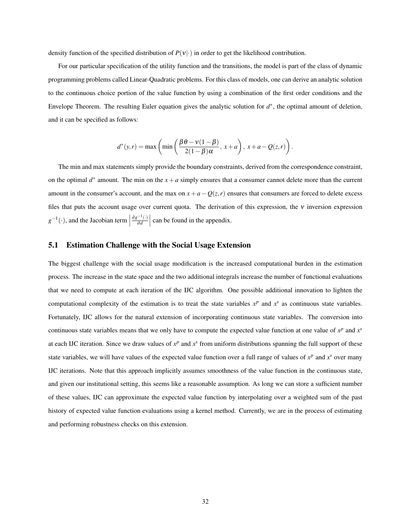density function of the specified distribution of  $P(v|\cdot)$  in order to get the likelihood contribution.

For our particular specification of the utility function and the transitions, the model is part of the class of dynamic programming problems called Linear-Quadratic problems. For this class of models, one can derive an analytic solution to the continuous choice portion of the value function by using a combination of the first order conditions and the Envelope Theorem. The resulting Euler equation gives the analytic solution for  $d^*$ , the optimal amount of deletion, and it can be specified as follows:

$$
d^*(y,r) = \max\left(\min\left(\frac{\beta \theta - v(1-\beta)}{2(1-\beta)\alpha}, x+a\right), x+a-Q(z,r)\right).
$$

The min and max statements simply provide the boundary constraints, derived from the correspondence constraint, on the optimal  $d^*$  amount. The min on the  $x + a$  simply ensures that a consumer cannot delete more than the current amount in the consumer's account, and the max on  $x + a - Q(z, r)$  ensures that consumers are forced to delete excess files that puts the account usage over current quota. The derivation of this expression, the  $\nu$  inversion expression  $g^{-1}(\cdot)$ , and the Jacobian term  $\Big|$  $∂g<sup>-1</sup>(·)$ ∂*d*    can be found in the appendix.

## 5.1 Estimation Challenge with the Social Usage Extension

The biggest challenge with the social usage modification is the increased computational burden in the estimation process. The increase in the state space and the two additional integrals increase the number of functional evaluations that we need to compute at each iteration of the IJC algorithm. One possible additional innovation to lighten the computational complexity of the estimation is to treat the state variables  $x^p$  and  $x^s$  as continuous state variables. Fortunately, IJC allows for the natural extension of incorporating continuous state variables. The conversion into continuous state variables means that we only have to compute the expected value function at one value of  $x^p$  and  $x^s$ at each IJC iteration. Since we draw values of  $x^p$  and  $x^s$  from uniform distributions spanning the full support of these state variables, we will have values of the expected value function over a full range of values of  $x^p$  and  $x^s$  over many IJC iterations. Note that this approach implicitly assumes smoothness of the value function in the continuous state, and given our institutional setting, this seems like a reasonable assumption. As long we can store a sufficient number of these values, IJC can approximate the expected value function by interpolating over a weighted sum of the past history of expected value function evaluations using a kernel method. Currently, we are in the process of estimating and performing robustness checks on this extension.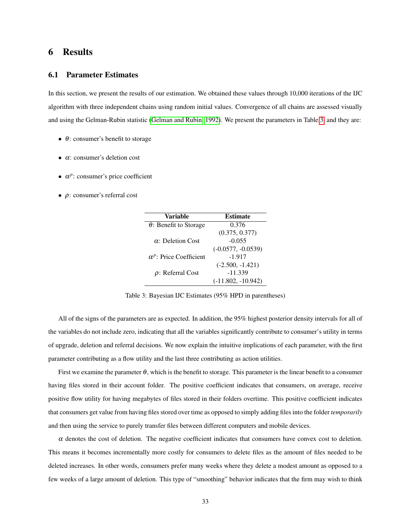# 6 Results

## 6.1 Parameter Estimates

In this section, we present the results of our estimation. We obtained these values through 10,000 iterations of the IJC algorithm with three independent chains using random initial values. Convergence of all chains are assessed visually and using the Gelman-Rubin statistic [\(Gelman and Rubin, 1992\)](#page-40-13). We present the parameters in Table [3,](#page-32-0) and they are:

- $\bullet$   $\theta$ : consumer's benefit to storage
- $\bullet$   $\alpha$ : consumer's deletion cost
- $\bullet$   $\alpha^p$ : consumer's price coefficient
- $\bullet$   $\rho$ : consumer's referral cost

| Variable                       | <b>Estimate</b>      |
|--------------------------------|----------------------|
| $\theta$ : Benefit to Storage  | 0.376                |
|                                | (0.375, 0.377)       |
| $\alpha$ : Deletion Cost       | $-0.055$             |
|                                | $(-0.0577, -0.0539)$ |
| $\alpha^p$ : Price Coefficient | $-1.917$             |
|                                | $(-2.500, -1.421)$   |
| $\rho$ : Referral Cost         | $-11.339$            |
|                                | $(-11.802, -10.942)$ |

<span id="page-32-0"></span>Table 3: Bayesian IJC Estimates (95% HPD in parentheses)

All of the signs of the parameters are as expected. In addition, the 95% highest posterior density intervals for all of the variables do not include zero, indicating that all the variables significantly contribute to consumer's utility in terms of upgrade, deletion and referral decisions. We now explain the intuitive implications of each parameter, with the first parameter contributing as a flow utility and the last three contributing as action utilities.

First we examine the parameter  $\theta$ , which is the benefit to storage. This parameter is the linear benefit to a consumer having files stored in their account folder. The positive coefficient indicates that consumers, on average, receive positive flow utility for having megabytes of files stored in their folders overtime. This positive coefficient indicates that consumers get value from having files stored over time as opposed to simply adding files into the folder *temporarily* and then using the service to purely transfer files between different computers and mobile devices.

 $\alpha$  denotes the cost of deletion. The negative coefficient indicates that consumers have convex cost to deletion. This means it becomes incrementally more costly for consumers to delete files as the amount of files needed to be deleted increases. In other words, consumers prefer many weeks where they delete a modest amount as opposed to a few weeks of a large amount of deletion. This type of "smoothing" behavior indicates that the firm may wish to think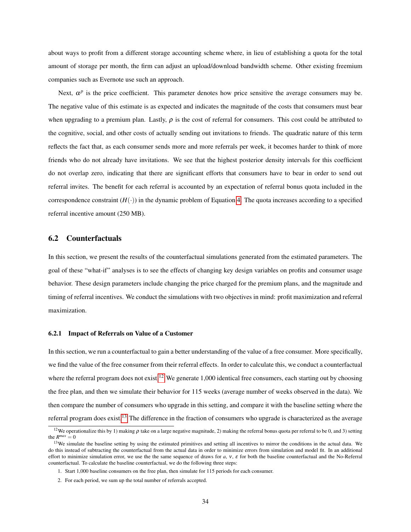about ways to profit from a different storage accounting scheme where, in lieu of establishing a quota for the total amount of storage per month, the firm can adjust an upload/download bandwidth scheme. Other existing freemium companies such as Evernote use such an approach.

Next,  $\alpha^p$  is the price coefficient. This parameter denotes how price sensitive the average consumers may be. The negative value of this estimate is as expected and indicates the magnitude of the costs that consumers must bear when upgrading to a premium plan. Lastly,  $\rho$  is the cost of referral for consumers. This cost could be attributed to the cognitive, social, and other costs of actually sending out invitations to friends. The quadratic nature of this term reflects the fact that, as each consumer sends more and more referrals per week, it becomes harder to think of more friends who do not already have invitations. We see that the highest posterior density intervals for this coefficient do not overlap zero, indicating that there are significant efforts that consumers have to bear in order to send out referral invites. The benefit for each referral is accounted by an expectation of referral bonus quota included in the correspondence constraint  $(H(\cdot))$  in the dynamic problem of Equation [4.](#page-21-1) The quota increases according to a specified referral incentive amount (250 MB).

## 6.2 Counterfactuals

In this section, we present the results of the counterfactual simulations generated from the estimated parameters. The goal of these "what-if" analyses is to see the effects of changing key design variables on profits and consumer usage behavior. These design parameters include changing the price charged for the premium plans, and the magnitude and timing of referral incentives. We conduct the simulations with two objectives in mind: profit maximization and referral maximization.

#### 6.2.1 Impact of Referrals on Value of a Customer

In this section, we run a counterfactual to gain a better understanding of the value of a free consumer. More specifically, we find the value of the free consumer from their referral effects. In order to calculate this, we conduct a counterfactual where the referral program does not exist.<sup>[12](#page-33-0)</sup> We generate 1,000 identical free consumers, each starting out by choosing the free plan, and then we simulate their behavior for 115 weeks (average number of weeks observed in the data). We then compare the number of consumers who upgrade in this setting, and compare it with the baseline setting where the referral program does exist.<sup>[13](#page-33-1)</sup> The difference in the fraction of consumers who upgrade is characterized as the average

<span id="page-33-0"></span><sup>&</sup>lt;sup>12</sup>We operationalize this by 1) making  $\rho$  take on a large negative magnitude, 2) making the referral bonus quota per referral to be 0, and 3) setting the  $R^{max} = 0$ 

<span id="page-33-1"></span><sup>&</sup>lt;sup>13</sup>We simulate the baseline setting by using the estimated primitives and setting all incentives to mirror the conditions in the actual data. We do this instead of subtracting the counterfactual from the actual data in order to minimize errors from simulation and model fit. In an additional effort to minimize simulation error, we use the the same sequence of draws for *a*, ν, ε for both the baseline counterfactual and the No-Referral counterfactual. To calculate the baseline counterfactual, we do the following three steps:

<sup>1.</sup> Start 1,000 baseline consumers on the free plan, then simulate for 115 periods for each consumer.

<sup>2.</sup> For each period, we sum up the total number of referrals accepted.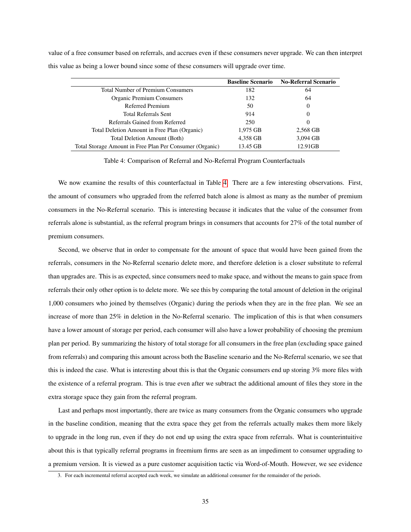|                                                          | <b>Baseline Scenario</b> | <b>No-Referral Scenario</b> |
|----------------------------------------------------------|--------------------------|-----------------------------|
| <b>Total Number of Premium Consumers</b>                 | 182                      | 64                          |
| Organic Premium Consumers                                | 132                      | 64                          |
| Referred Premium                                         | 50                       | 0                           |
| <b>Total Referrals Sent</b>                              | 914                      | 0                           |
| Referrals Gained from Referred                           | 250                      | 0                           |
| Total Deletion Amount in Free Plan (Organic)             | 1,975 GB                 | 2,568 GB                    |
| Total Deletion Amount (Both)                             | 4,358 GB                 | 3,094 GB                    |
| Total Storage Amount in Free Plan Per Consumer (Organic) | 13.45 GB                 | 12.91GB                     |

value of a free consumer based on referrals, and accrues even if these consumers never upgrade. We can then interpret this value as being a lower bound since some of these consumers will upgrade over time.

<span id="page-34-0"></span>Table 4: Comparison of Referral and No-Referral Program Counterfactuals

We now examine the results of this counterfactual in Table [4.](#page-34-0) There are a few interesting observations. First, the amount of consumers who upgraded from the referred batch alone is almost as many as the number of premium consumers in the No-Referral scenario. This is interesting because it indicates that the value of the consumer from referrals alone is substantial, as the referral program brings in consumers that accounts for 27% of the total number of premium consumers.

Second, we observe that in order to compensate for the amount of space that would have been gained from the referrals, consumers in the No-Referral scenario delete more, and therefore deletion is a closer substitute to referral than upgrades are. This is as expected, since consumers need to make space, and without the means to gain space from referrals their only other option is to delete more. We see this by comparing the total amount of deletion in the original 1,000 consumers who joined by themselves (Organic) during the periods when they are in the free plan. We see an increase of more than 25% in deletion in the No-Referral scenario. The implication of this is that when consumers have a lower amount of storage per period, each consumer will also have a lower probability of choosing the premium plan per period. By summarizing the history of total storage for all consumers in the free plan (excluding space gained from referrals) and comparing this amount across both the Baseline scenario and the No-Referral scenario, we see that this is indeed the case. What is interesting about this is that the Organic consumers end up storing 3% more files with the existence of a referral program. This is true even after we subtract the additional amount of files they store in the extra storage space they gain from the referral program.

Last and perhaps most importantly, there are twice as many consumers from the Organic consumers who upgrade in the baseline condition, meaning that the extra space they get from the referrals actually makes them more likely to upgrade in the long run, even if they do not end up using the extra space from referrals. What is counterintuitive about this is that typically referral programs in freemium firms are seen as an impediment to consumer upgrading to a premium version. It is viewed as a pure customer acquisition tactic via Word-of-Mouth. However, we see evidence

<sup>3.</sup> For each incremental referral accepted each week, we simulate an additional consumer for the remainder of the periods.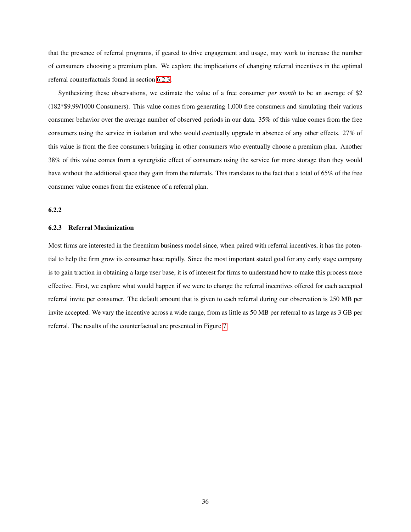that the presence of referral programs, if geared to drive engagement and usage, may work to increase the number of consumers choosing a premium plan. We explore the implications of changing referral incentives in the optimal referral counterfactuals found in section [6.2.3.](#page-35-0)

Synthesizing these observations, we estimate the value of a free consumer *per month* to be an average of \$2 (182\*\$9.99/1000 Consumers). This value comes from generating 1,000 free consumers and simulating their various consumer behavior over the average number of observed periods in our data. 35% of this value comes from the free consumers using the service in isolation and who would eventually upgrade in absence of any other effects. 27% of this value is from the free consumers bringing in other consumers who eventually choose a premium plan. Another 38% of this value comes from a synergistic effect of consumers using the service for more storage than they would have without the additional space they gain from the referrals. This translates to the fact that a total of 65% of the free consumer value comes from the existence of a referral plan.

### 6.2.2

#### <span id="page-35-0"></span>6.2.3 Referral Maximization

Most firms are interested in the freemium business model since, when paired with referral incentives, it has the potential to help the firm grow its consumer base rapidly. Since the most important stated goal for any early stage company is to gain traction in obtaining a large user base, it is of interest for firms to understand how to make this process more effective. First, we explore what would happen if we were to change the referral incentives offered for each accepted referral invite per consumer. The default amount that is given to each referral during our observation is 250 MB per invite accepted. We vary the incentive across a wide range, from as little as 50 MB per referral to as large as 3 GB per referral. The results of the counterfactual are presented in Figure [7.](#page-36-0)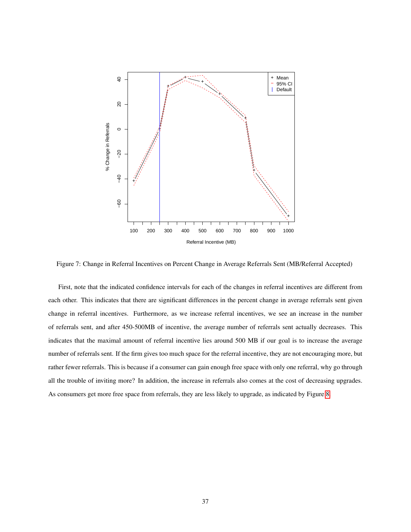

<span id="page-36-0"></span>Figure 7: Change in Referral Incentives on Percent Change in Average Referrals Sent (MB/Referral Accepted)

First, note that the indicated confidence intervals for each of the changes in referral incentives are different from each other. This indicates that there are significant differences in the percent change in average referrals sent given change in referral incentives. Furthermore, as we increase referral incentives, we see an increase in the number of referrals sent, and after 450-500MB of incentive, the average number of referrals sent actually decreases. This indicates that the maximal amount of referral incentive lies around 500 MB if our goal is to increase the average number of referrals sent. If the firm gives too much space for the referral incentive, they are not encouraging more, but rather fewer referrals. This is because if a consumer can gain enough free space with only one referral, why go through all the trouble of inviting more? In addition, the increase in referrals also comes at the cost of decreasing upgrades. As consumers get more free space from referrals, they are less likely to upgrade, as indicated by Figure [8.](#page-37-0)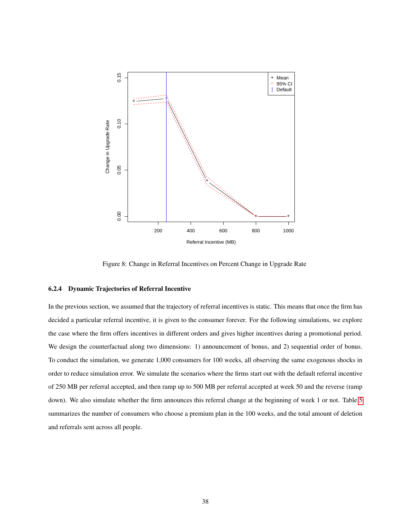

<span id="page-37-0"></span>Figure 8: Change in Referral Incentives on Percent Change in Upgrade Rate

## 6.2.4 Dynamic Trajectories of Referral Incentive

In the previous section, we assumed that the trajectory of referral incentives is static. This means that once the firm has decided a particular referral incentive, it is given to the consumer forever. For the following simulations, we explore the case where the firm offers incentives in different orders and gives higher incentives during a promotional period. We design the counterfactual along two dimensions: 1) announcement of bonus, and 2) sequential order of bonus. To conduct the simulation, we generate 1,000 consumers for 100 weeks, all observing the same exogenous shocks in order to reduce simulation error. We simulate the scenarios where the firms start out with the default referral incentive of 250 MB per referral accepted, and then ramp up to 500 MB per referral accepted at week 50 and the reverse (ramp down). We also simulate whether the firm announces this referral change at the beginning of week 1 or not. Table [5](#page-38-0) summarizes the number of consumers who choose a premium plan in the 100 weeks, and the total amount of deletion and referrals sent across all people.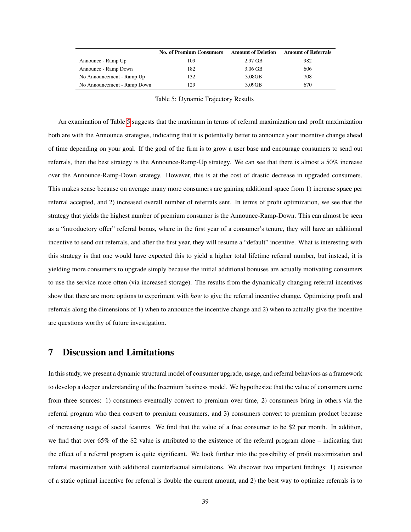|                             | <b>No. of Premium Consumers</b> | <b>Amount of Deletion</b> | <b>Amount of Referrals</b> |
|-----------------------------|---------------------------------|---------------------------|----------------------------|
| Announce - Ramp Up          | 109                             | $2.97$ GB                 | 982                        |
| Announce - Ramp Down        | 182                             | $3.06$ GB                 | 606                        |
| No Announcement - Ramp Up   | 132                             | $3.08$ GB                 | 708                        |
| No Announcement - Ramp Down | 29                              | 3.09GB                    | 670                        |

<span id="page-38-0"></span>Table 5: Dynamic Trajectory Results

An examination of Table [5](#page-38-0) suggests that the maximum in terms of referral maximization and profit maximization both are with the Announce strategies, indicating that it is potentially better to announce your incentive change ahead of time depending on your goal. If the goal of the firm is to grow a user base and encourage consumers to send out referrals, then the best strategy is the Announce-Ramp-Up strategy. We can see that there is almost a 50% increase over the Announce-Ramp-Down strategy. However, this is at the cost of drastic decrease in upgraded consumers. This makes sense because on average many more consumers are gaining additional space from 1) increase space per referral accepted, and 2) increased overall number of referrals sent. In terms of profit optimization, we see that the strategy that yields the highest number of premium consumer is the Announce-Ramp-Down. This can almost be seen as a "introductory offer" referral bonus, where in the first year of a consumer's tenure, they will have an additional incentive to send out referrals, and after the first year, they will resume a "default" incentive. What is interesting with this strategy is that one would have expected this to yield a higher total lifetime referral number, but instead, it is yielding more consumers to upgrade simply because the initial additional bonuses are actually motivating consumers to use the service more often (via increased storage). The results from the dynamically changing referral incentives show that there are more options to experiment with *how* to give the referral incentive change*.* Optimizing profit and referrals along the dimensions of 1) when to announce the incentive change and 2) when to actually give the incentive are questions worthy of future investigation.

# 7 Discussion and Limitations

In this study, we present a dynamic structural model of consumer upgrade, usage, and referral behaviors as a framework to develop a deeper understanding of the freemium business model. We hypothesize that the value of consumers come from three sources: 1) consumers eventually convert to premium over time, 2) consumers bring in others via the referral program who then convert to premium consumers, and 3) consumers convert to premium product because of increasing usage of social features. We find that the value of a free consumer to be \$2 per month. In addition, we find that over 65% of the \$2 value is attributed to the existence of the referral program alone – indicating that the effect of a referral program is quite significant. We look further into the possibility of profit maximization and referral maximization with additional counterfactual simulations. We discover two important findings: 1) existence of a static optimal incentive for referral is double the current amount, and 2) the best way to optimize referrals is to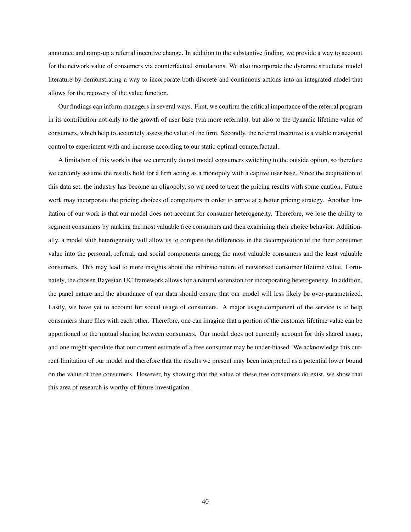announce and ramp-up a referral incentive change. In addition to the substantive finding, we provide a way to account for the network value of consumers via counterfactual simulations. We also incorporate the dynamic structural model literature by demonstrating a way to incorporate both discrete and continuous actions into an integrated model that allows for the recovery of the value function.

Our findings can inform managers in several ways. First, we confirm the critical importance of the referral program in its contribution not only to the growth of user base (via more referrals), but also to the dynamic lifetime value of consumers, which help to accurately assess the value of the firm. Secondly, the referral incentive is a viable managerial control to experiment with and increase according to our static optimal counterfactual.

A limitation of this work is that we currently do not model consumers switching to the outside option, so therefore we can only assume the results hold for a firm acting as a monopoly with a captive user base. Since the acquisition of this data set, the industry has become an oligopoly, so we need to treat the pricing results with some caution. Future work may incorporate the pricing choices of competitors in order to arrive at a better pricing strategy. Another limitation of our work is that our model does not account for consumer heterogeneity. Therefore, we lose the ability to segment consumers by ranking the most valuable free consumers and then examining their choice behavior. Additionally, a model with heterogeneity will allow us to compare the differences in the decomposition of the their consumer value into the personal, referral, and social components among the most valuable consumers and the least valuable consumers. This may lead to more insights about the intrinsic nature of networked consumer lifetime value. Fortunately, the chosen Bayesian IJC framework allows for a natural extension for incorporating heterogeneity. In addition, the panel nature and the abundance of our data should ensure that our model will less likely be over-parametrized. Lastly, we have yet to account for social usage of consumers. A major usage component of the service is to help consumers share files with each other. Therefore, one can imagine that a portion of the customer lifetime value can be apportioned to the mutual sharing between consumers. Our model does not currently account for this shared usage, and one might speculate that our current estimate of a free consumer may be under-biased. We acknowledge this current limitation of our model and therefore that the results we present may been interpreted as a potential lower bound on the value of free consumers. However, by showing that the value of these free consumers do exist, we show that this area of research is worthy of future investigation.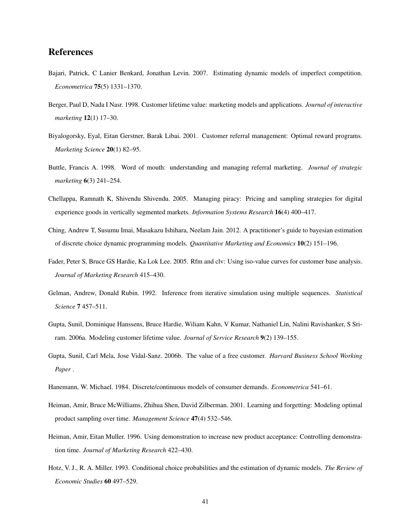# References

- <span id="page-40-10"></span>Bajari, Patrick, C Lanier Benkard, Jonathan Levin. 2007. Estimating dynamic models of imperfect competition. *Econometrica* 75(5) 1331–1370.
- <span id="page-40-5"></span>Berger, Paul D, Nada I Nasr. 1998. Customer lifetime value: marketing models and applications. *Journal of interactive marketing* 12(1) 17–30.
- <span id="page-40-1"></span>Biyalogorsky, Eyal, Eitan Gerstner, Barak Libai. 2001. Customer referral management: Optimal reward programs. *Marketing Science* 20(1) 82–95.
- <span id="page-40-0"></span>Buttle, Francis A. 1998. Word of mouth: understanding and managing referral marketing. *Journal of strategic marketing* 6(3) 241–254.
- <span id="page-40-4"></span>Chellappa, Ramnath K, Shivendu Shivendu. 2005. Managing piracy: Pricing and sampling strategies for digital experience goods in vertically segmented markets. *Information Systems Research* 16(4) 400–417.
- <span id="page-40-12"></span>Ching, Andrew T, Susumu Imai, Masakazu Ishihara, Neelam Jain. 2012. A practitioner's guide to bayesian estimation of discrete choice dynamic programming models. *Quantitative Marketing and Economics* 10(2) 151–196.
- <span id="page-40-7"></span>Fader, Peter S, Bruce GS Hardie, Ka Lok Lee. 2005. Rfm and clv: Using iso-value curves for customer base analysis. *Journal of Marketing Research* 415–430.
- <span id="page-40-13"></span>Gelman, Andrew, Donald Rubin. 1992. Inference from iterative simulation using multiple sequences. *Statistical Science* 7 457–511.
- <span id="page-40-6"></span>Gupta, Sunil, Dominique Hanssens, Bruce Hardie, Wiliam Kahn, V Kumar, Nathaniel Lin, Nalini Ravishanker, S Sriram. 2006a. Modeling customer lifetime value. *Journal of Service Research* 9(2) 139–155.
- <span id="page-40-8"></span>Gupta, Sunil, Carl Mela, Jose Vidal-Sanz. 2006b. The value of a free customer. *Harvard Business School Working Paper* .
- <span id="page-40-9"></span>Hanemann, W. Michael. 1984. Discrete/continuous models of consumer demands. *Econometrica* 541–61.
- <span id="page-40-3"></span>Heiman, Amir, Bruce McWilliams, Zhihua Shen, David Zilberman. 2001. Learning and forgetting: Modeling optimal product sampling over time. *Management Science* 47(4) 532–546.
- <span id="page-40-2"></span>Heiman, Amir, Eitan Muller. 1996. Using demonstration to increase new product acceptance: Controlling demonstration time. *Journal of Marketing Research* 422–430.
- <span id="page-40-11"></span>Hotz, V. J., R. A. Miller. 1993. Conditional choice probabilities and the estimation of dynamic models. *The Review of Economic Studies* 60 497–529.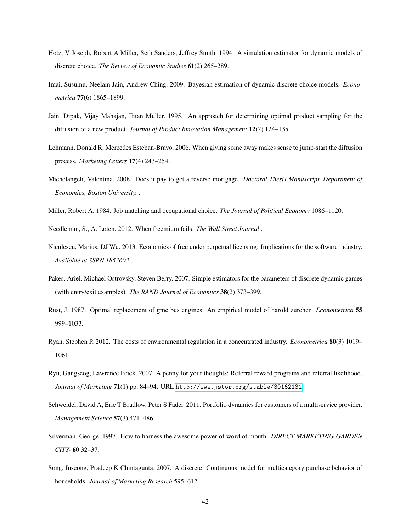- <span id="page-41-13"></span>Hotz, V Joseph, Robert A Miller, Seth Sanders, Jeffrey Smith. 1994. A simulation estimator for dynamic models of discrete choice. *The Review of Economic Studies* 61(2) 265–289.
- <span id="page-41-1"></span>Imai, Susumu, Neelam Jain, Andrew Ching. 2009. Bayesian estimation of dynamic discrete choice models. *Econometrica* 77(6) 1865–1899.
- <span id="page-41-4"></span>Jain, Dipak, Vijay Mahajan, Eitan Muller. 1995. An approach for determining optimal product sampling for the diffusion of a new product. *Journal of Product Innovation Management* 12(2) 124–135.
- <span id="page-41-5"></span>Lehmann, Donald R, Mercedes Esteban-Bravo. 2006. When giving some away makes sense to jump-start the diffusion process. *Marketing Letters* 17(4) 243–254.
- <span id="page-41-12"></span>Michelangeli, Valentina. 2008. Does it pay to get a reverse mortgage. *Doctoral Thesis Manuscript. Department of Economics, Boston University.* .
- <span id="page-41-8"></span>Miller, Robert A. 1984. Job matching and occupational choice. *The Journal of Political Economy* 1086–1120.
- <span id="page-41-0"></span>Needleman, S., A. Loten. 2012. When freemium fails. *The Wall Street Journal* .
- <span id="page-41-6"></span>Niculescu, Marius, DJ Wu. 2013. Economics of free under perpetual licensing: Implications for the software industry. *Available at SSRN 1853603* .
- <span id="page-41-14"></span>Pakes, Ariel, Michael Ostrovsky, Steven Berry. 2007. Simple estimators for the parameters of discrete dynamic games (with entry/exit examples). *The RAND Journal of Economics* 38(2) 373–399.
- <span id="page-41-9"></span>Rust, J. 1987. Optimal replacement of gmc bus engines: An empirical model of harold zurcher. *Econometrica* 55 999–1033.
- <span id="page-41-11"></span>Ryan, Stephen P. 2012. The costs of environmental regulation in a concentrated industry. *Econometrica* 80(3) 1019– 1061.
- <span id="page-41-3"></span>Ryu, Gangseog, Lawrence Feick. 2007. A penny for your thoughts: Referral reward programs and referral likelihood. *Journal of Marketing* 71(1) pp. 84–94. URL <http://www.jstor.org/stable/30162131>.
- <span id="page-41-7"></span>Schweidel, David A, Eric T Bradlow, Peter S Fader. 2011. Portfolio dynamics for customers of a multiservice provider. *Management Science* 57(3) 471–486.
- <span id="page-41-2"></span>Silverman, George. 1997. How to harness the awesome power of word of mouth. *DIRECT MARKETING-GARDEN CITY-* 60 32–37.
- <span id="page-41-10"></span>Song, Inseong, Pradeep K Chintagunta. 2007. A discrete: Continuous model for multicategory purchase behavior of households. *Journal of Marketing Research* 595–612.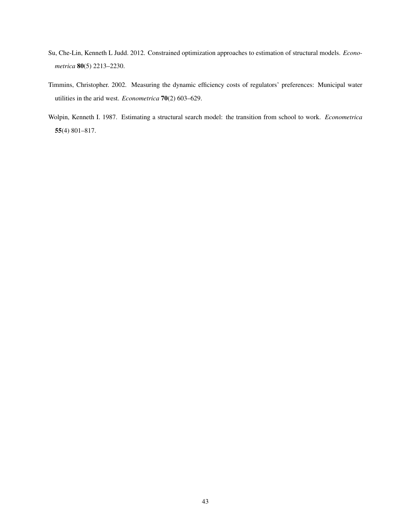- <span id="page-42-2"></span>Su, Che-Lin, Kenneth L Judd. 2012. Constrained optimization approaches to estimation of structural models. *Econometrica* 80(5) 2213–2230.
- <span id="page-42-0"></span>Timmins, Christopher. 2002. Measuring the dynamic efficiency costs of regulators' preferences: Municipal water utilities in the arid west. *Econometrica* 70(2) 603–629.
- <span id="page-42-1"></span>Wolpin, Kenneth I. 1987. Estimating a structural search model: the transition from school to work. *Econometrica* 55(4) 801–817.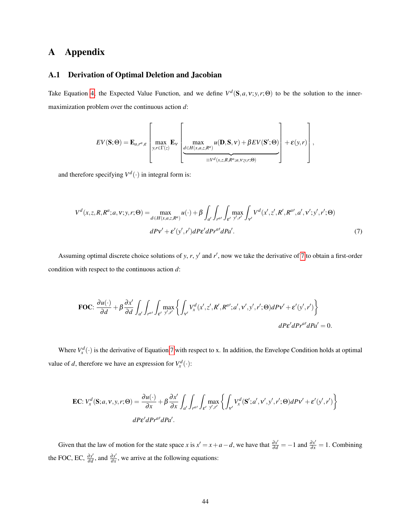# A Appendix

## A.1 Derivation of Optimal Deletion and Jacobian

Take Equation [4,](#page-21-1) the Expected Value Function, and we define  $V^d$ (S,*a*,v;*y*,*r*; $\Theta$ ) to be the solution to the innermaximization problem over the continuous action *d*:

<span id="page-43-0"></span>
$$
EV(\mathbf{S};\Theta) = \mathbf{E}_{a,r^a,\varepsilon} \left[ \max_{y,r \in \Gamma(z)} \mathbf{E}_v \left[ \max_{\substack{d \in H(x,a,z,R^a) \\ \equiv V^d(x,z,R,R^a;a,v;y,r;\Theta)}} u(\mathbf{D}, \mathbf{S}, v) + \beta EV(\mathbf{S}';\Theta) \right] + \varepsilon(y,r) \right],
$$

and therefore specifying  $V^d(\cdot)$  in integral form is:

$$
V^{d}(x, z, R, R^{a}; a, v; y, r; \Theta) = \max_{d \in H(x, a, z, R^{a})} u(\cdot) + \beta \int_{a'} \int_{r^{a'}} \int_{\varepsilon'} \max_{y', r'} \int_{v'} V^{d}(x', z', R', R^{a'}, a', v'; y', r'; \Theta)
$$
  

$$
dPv' + \varepsilon'(y', r')dP\varepsilon' dPr^{a'} dPa'.
$$
 (7)

Assuming optimal discrete choice solutions of *y*, *r*, *y'* and *r'*, now we take the derivative of [7](#page-43-0) to obtain a first-order condition with respect to the continuous action *d*:

**FOC:** 
$$
\frac{\partial u(\cdot)}{\partial d} + \beta \frac{\partial x'}{\partial d} \int_{a'} \int_{r^{a'}} \int_{\varepsilon'} \max_{y',r'} \left\{ \int_{v'} V_x^d(x',z',R',R^{a'};a',v',y',r';\Theta) dP v' + \varepsilon'(y',r') \right\}
$$
  

$$
dP \varepsilon' dP r^{a'} dP a' = 0.
$$

Where  $V_x^d(\cdot)$  is the derivative of Equation [7](#page-43-0) with respect to x. In addition, the Envelope Condition holds at optimal value of *d*, therefore we have an expression for  $V_x^d(\cdot)$ :

$$
\mathbf{EC}: V_x^d(\mathbf{S}; a, v, y, r; \Theta) = \frac{\partial u(\cdot)}{\partial x} + \beta \frac{\partial x'}{\partial x} \int_{a'} \int_{r^{a'}} \int_{\varepsilon'} \max_{y', r'} \left\{ \int_{v'} V_x^d(\mathbf{S}'; a', v', y', r'; \Theta) dP v' + \varepsilon'(y', r') \right\}
$$

$$
dP \varepsilon' dP r^{a'} dP a'.
$$

Given that the law of motion for the state space *x* is  $x' = x + a - d$ , we have that  $\frac{\partial x'}{\partial d} = -1$  and  $\frac{\partial x'}{\partial x} = 1$ . Combining the FOC, EC,  $\frac{\partial x^i}{\partial d}$  $\frac{\partial x'}{\partial d}$ , and  $\frac{\partial x'}{\partial x}$  $\frac{\partial x}{\partial x}$ , we arrive at the following equations: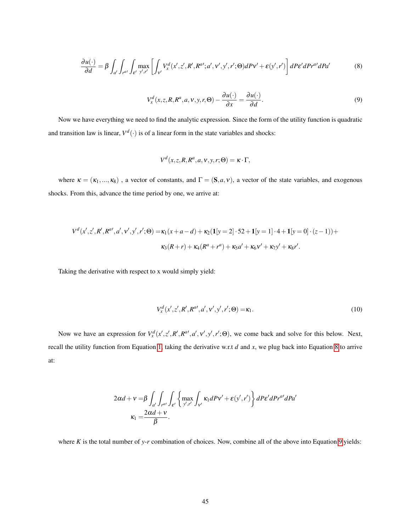<span id="page-44-0"></span>
$$
\frac{\partial u(\cdot)}{\partial d} = \beta \int_{d'} \int_{r^{a'}} \int_{\varepsilon'} \max_{y',r'} \left[ \int_{v'} V_x^d(x',z',R',R^{a'};a',v',y',r';\Theta) dP v' + \varepsilon(y',r') \right] dP \varepsilon' dP r^{a'} dP a' \tag{8}
$$

<span id="page-44-1"></span>
$$
V_x^d(x, z, R, R^a, a, v, y, r, \Theta) - \frac{\partial u(\cdot)}{\partial x} = \frac{\partial u(\cdot)}{\partial d}.
$$
\n(9)

Now we have everything we need to find the analytic expression. Since the form of the utility function is quadratic and transition law is linear,  $V^d(\cdot)$  is of a linear form in the state variables and shocks:

$$
V^d(x, z, R, R^a, a, v, y, r; \Theta) = \kappa \cdot \Gamma,
$$

where  $\kappa = (\kappa_1,...,\kappa_8)$ , a vector of constants, and  $\Gamma = (\mathbf{S}, a, v)$ , a vector of the state variables, and exogenous shocks. From this, advance the time period by one, we arrive at:

$$
V^{d}(x',z',R',R^{a'},a',v',y',r';\Theta) = \kappa_{1}(x+a-d) + \kappa_{2}(\mathbf{1}[y=2] \cdot 52 + \mathbf{1}[y=1] \cdot 4 + \mathbf{1}[y=0] \cdot (z-1)) +
$$
  

$$
\kappa_{3}(R+r) + \kappa_{4}(R^{a}+r^{a}) + \kappa_{5}a' + \kappa_{6}v' + \kappa_{7}y' + \kappa_{8}r'.
$$

Taking the derivative with respect to x would simply yield:

$$
V_x^d(x', z', R', R^{a'}, a', v', y', r'; \Theta) = \kappa_1.
$$
\n(10)

Now we have an expression for  $V_x^d(x',z',R',R'^i',a',v',y',r';\Theta)$ , we come back and solve for this below. Next, recall the utility function from Equation [1,](#page-18-1) taking the derivative w.r.t *d* and *x*, we plug back into Equation [8](#page-44-0) to arrive at:

$$
2\alpha d + v = \beta \int_{a'} \int_{r^{at}} \int_{\varepsilon'} \left\{ \max_{y',r'} \int_{v'} \kappa_1 dP v' + \varepsilon(y',r') \right\} dP \varepsilon' dP r^{at} dP a'
$$

$$
\kappa_1 = \frac{2\alpha d + v}{\beta}.
$$

where *K* is the total number of *y*-*r* combination of choices. Now, combine all of the above into Equation [9](#page-44-1) yields: